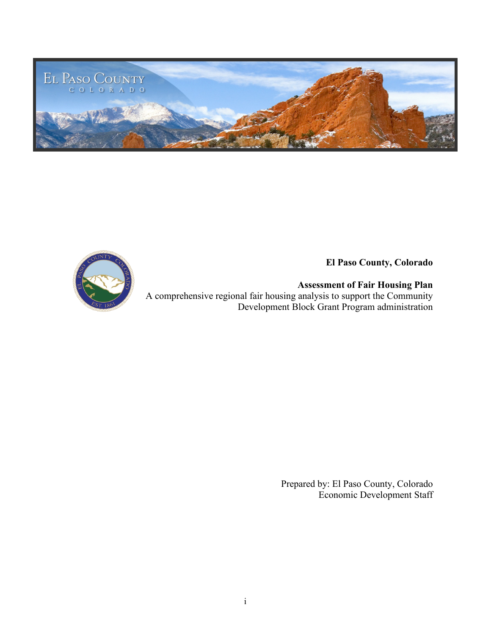

**El Paso County, Colorado**

**Assessment of Fair Housing Plan** A comprehensive regional fair housing analysis to support the Community Development Block Grant Program administration

> Prepared by: El Paso County, Colorado Economic Development Staff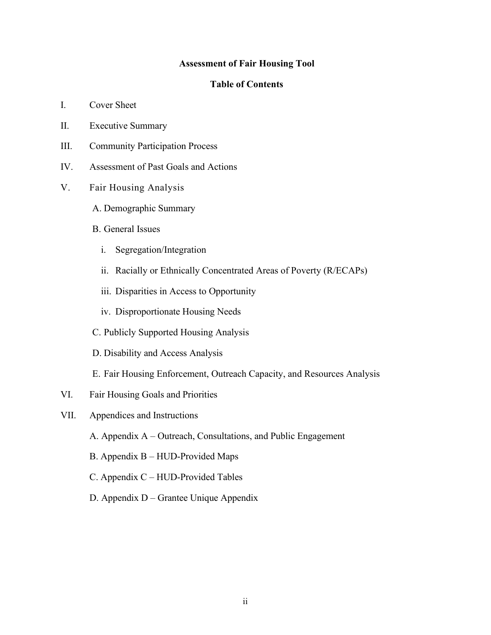#### **Assessment of Fair Housing Tool**

#### **Table of Contents**

- I. Cover Sheet
- II. Executive Summary
- III. Community Participation Process
- IV. Assessment of Past Goals and Actions
- V. Fair Housing Analysis
	- A. Demographic Summary
	- B. General Issues
		- i. Segregation/Integration
		- ii. Racially or Ethnically Concentrated Areas of Poverty (R/ECAPs)
		- iii. Disparities in Access to Opportunity
		- iv. Disproportionate Housing Needs
	- C. Publicly Supported Housing Analysis
	- D. Disability and Access Analysis
	- E. Fair Housing Enforcement, Outreach Capacity, and Resources Analysis
- VI. Fair Housing Goals and Priorities
- VII. Appendices and Instructions
	- A. Appendix A Outreach, Consultations, and Public Engagement
	- B. Appendix B HUD-Provided Maps
	- C. Appendix C HUD-Provided Tables
	- D. Appendix D Grantee Unique Appendix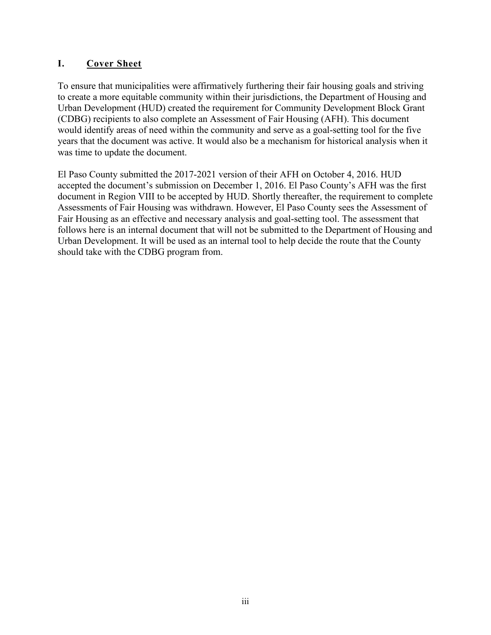# **I. Cover Sheet**

To ensure that municipalities were affirmatively furthering their fair housing goals and striving to create a more equitable community within their jurisdictions, the Department of Housing and Urban Development (HUD) created the requirement for Community Development Block Grant (CDBG) recipients to also complete an Assessment of Fair Housing (AFH). This document would identify areas of need within the community and serve as a goal-setting tool for the five years that the document was active. It would also be a mechanism for historical analysis when it was time to update the document.

El Paso County submitted the 2017-2021 version of their AFH on October 4, 2016. HUD accepted the document's submission on December 1, 2016. El Paso County's AFH was the first document in Region VIII to be accepted by HUD. Shortly thereafter, the requirement to complete Assessments of Fair Housing was withdrawn. However, El Paso County sees the Assessment of Fair Housing as an effective and necessary analysis and goal-setting tool. The assessment that follows here is an internal document that will not be submitted to the Department of Housing and Urban Development. It will be used as an internal tool to help decide the route that the County should take with the CDBG program from.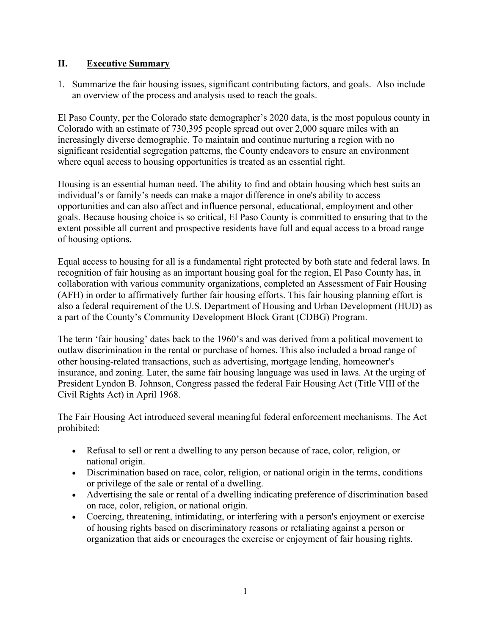## **II. Executive Summary**

1. Summarize the fair housing issues, significant contributing factors, and goals. Also include an overview of the process and analysis used to reach the goals.

El Paso County, per the Colorado state demographer's 2020 data, is the most populous county in Colorado with an estimate of 730,395 people spread out over 2,000 square miles with an increasingly diverse demographic. To maintain and continue nurturing a region with no significant residential segregation patterns, the County endeavors to ensure an environment where equal access to housing opportunities is treated as an essential right.

Housing is an essential human need. The ability to find and obtain housing which best suits an individual's or family's needs can make a major difference in one's ability to access opportunities and can also affect and influence personal, educational, employment and other goals. Because housing choice is so critical, El Paso County is committed to ensuring that to the extent possible all current and prospective residents have full and equal access to a broad range of housing options.

Equal access to housing for all is a fundamental right protected by both state and federal laws. In recognition of fair housing as an important housing goal for the region, El Paso County has, in collaboration with various community organizations, completed an Assessment of Fair Housing (AFH) in order to affirmatively further fair housing efforts. This fair housing planning effort is also a federal requirement of the U.S. Department of Housing and Urban Development (HUD) as a part of the County's Community Development Block Grant (CDBG) Program.

The term 'fair housing' dates back to the 1960's and was derived from a political movement to outlaw discrimination in the rental or purchase of homes. This also included a broad range of other housing-related transactions, such as advertising, mortgage lending, homeowner's insurance, and zoning. Later, the same fair housing language was used in laws. At the urging of President Lyndon B. Johnson, Congress passed the federal Fair Housing Act (Title VIII of the Civil Rights Act) in April 1968.

The Fair Housing Act introduced several meaningful federal enforcement mechanisms. The Act prohibited:

- Refusal to sell or rent a dwelling to any person because of race, color, religion, or national origin.
- Discrimination based on race, color, religion, or national origin in the terms, conditions or privilege of the sale or rental of a dwelling.
- Advertising the sale or rental of a dwelling indicating preference of discrimination based on race, color, religion, or national origin.
- Coercing, threatening, intimidating, or interfering with a person's enjoyment or exercise of housing rights based on discriminatory reasons or retaliating against a person or organization that aids or encourages the exercise or enjoyment of fair housing rights.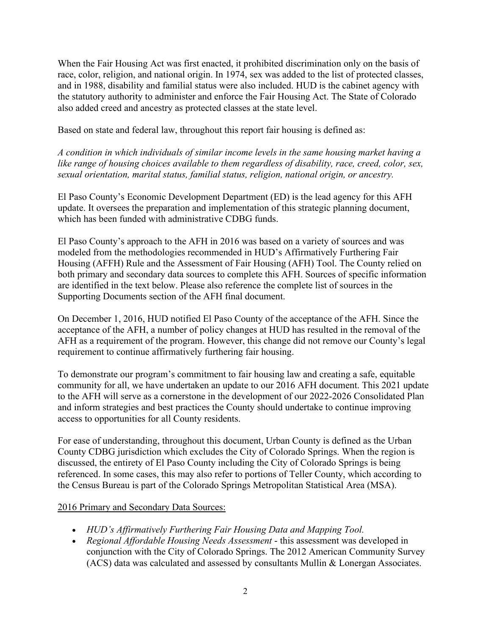When the Fair Housing Act was first enacted, it prohibited discrimination only on the basis of race, color, religion, and national origin. In 1974, sex was added to the list of protected classes, and in 1988, disability and familial status were also included. HUD is the cabinet agency with the statutory authority to administer and enforce the Fair Housing Act. The State of Colorado also added creed and ancestry as protected classes at the state level.

Based on state and federal law, throughout this report fair housing is defined as:

*A condition in which individuals of similar income levels in the same housing market having a like range of housing choices available to them regardless of disability, race, creed, color, sex, sexual orientation, marital status, familial status, religion, national origin, or ancestry.* 

El Paso County's Economic Development Department (ED) is the lead agency for this AFH update. It oversees the preparation and implementation of this strategic planning document, which has been funded with administrative CDBG funds.

El Paso County's approach to the AFH in 2016 was based on a variety of sources and was modeled from the methodologies recommended in HUD's Affirmatively Furthering Fair Housing (AFFH) Rule and the Assessment of Fair Housing (AFH) Tool. The County relied on both primary and secondary data sources to complete this AFH. Sources of specific information are identified in the text below. Please also reference the complete list of sources in the Supporting Documents section of the AFH final document.

On December 1, 2016, HUD notified El Paso County of the acceptance of the AFH. Since the acceptance of the AFH, a number of policy changes at HUD has resulted in the removal of the AFH as a requirement of the program. However, this change did not remove our County's legal requirement to continue affirmatively furthering fair housing.

To demonstrate our program's commitment to fair housing law and creating a safe, equitable community for all, we have undertaken an update to our 2016 AFH document. This 2021 update to the AFH will serve as a cornerstone in the development of our 2022-2026 Consolidated Plan and inform strategies and best practices the County should undertake to continue improving access to opportunities for all County residents.

For ease of understanding, throughout this document, Urban County is defined as the Urban County CDBG jurisdiction which excludes the City of Colorado Springs. When the region is discussed, the entirety of El Paso County including the City of Colorado Springs is being referenced. In some cases, this may also refer to portions of Teller County, which according to the Census Bureau is part of the Colorado Springs Metropolitan Statistical Area (MSA).

#### 2016 Primary and Secondary Data Sources:

- *HUD's Affirmatively Furthering Fair Housing Data and Mapping Tool.*
- *Regional Affordable Housing Needs Assessment* this assessment was developed in conjunction with the City of Colorado Springs. The 2012 American Community Survey (ACS) data was calculated and assessed by consultants Mullin & Lonergan Associates.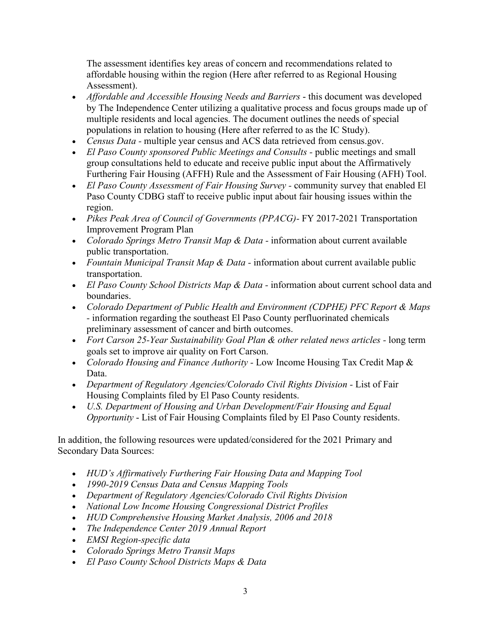The assessment identifies key areas of concern and recommendations related to affordable housing within the region (Here after referred to as Regional Housing Assessment).

- *Affordable and Accessible Housing Needs and Barriers* this document was developed by The Independence Center utilizing a qualitative process and focus groups made up of multiple residents and local agencies. The document outlines the needs of special populations in relation to housing (Here after referred to as the IC Study).
- *Census Data -* multiple year census and ACS data retrieved from census.gov.
- *El Paso County sponsored Public Meetings and Consults -* public meetings and small group consultations held to educate and receive public input about the Affirmatively Furthering Fair Housing (AFFH) Rule and the Assessment of Fair Housing (AFH) Tool.
- *El Paso County Assessment of Fair Housing Survey -* community survey that enabled El Paso County CDBG staff to receive public input about fair housing issues within the region.
- *Pikes Peak Area of Council of Governments (PPACG)-* FY 2017-2021 Transportation Improvement Program Plan
- *Colorado Springs Metro Transit Map & Data -* information about current available public transportation.
- *Fountain Municipal Transit Map & Data -* information about current available public transportation.
- *El Paso County School Districts Map & Data -* information about current school data and boundaries.
- *Colorado Department of Public Health and Environment (CDPHE) PFC Report & Maps -* information regarding the southeast El Paso County perfluorinated chemicals preliminary assessment of cancer and birth outcomes.
- *Fort Carson 25-Year Sustainability Goal Plan & other related news articles -* long term goals set to improve air quality on Fort Carson.
- *Colorado Housing and Finance Authority -* Low Income Housing Tax Credit Map & Data.
- *Department of Regulatory Agencies/Colorado Civil Rights Division -* List of Fair Housing Complaints filed by El Paso County residents.
- *U.S. Department of Housing and Urban Development/Fair Housing and Equal Opportunity* - List of Fair Housing Complaints filed by El Paso County residents.

In addition, the following resources were updated/considered for the 2021 Primary and Secondary Data Sources:

- *HUD's Affirmatively Furthering Fair Housing Data and Mapping Tool*
- *1990-2019 Census Data and Census Mapping Tools*
- *Department of Regulatory Agencies/Colorado Civil Rights Division*
- *National Low Income Housing Congressional District Profiles*
- *HUD Comprehensive Housing Market Analysis, 2006 and 2018*
- *The Independence Center 2019 Annual Report*
- *EMSI Region-specific data*
- *Colorado Springs Metro Transit Maps*
- *El Paso County School Districts Maps & Data*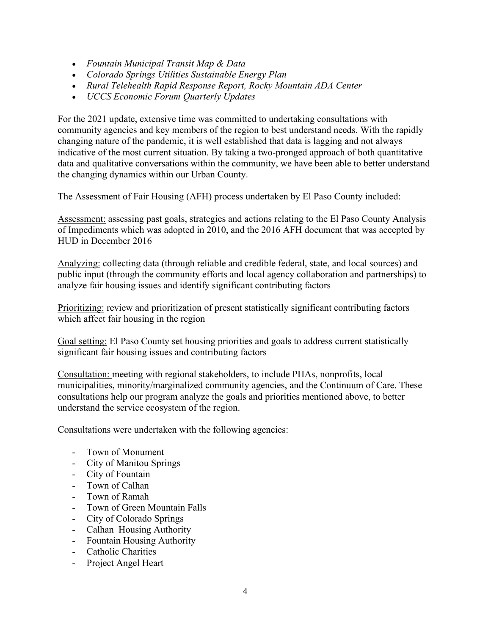- *Fountain Municipal Transit Map & Data*
- *Colorado Springs Utilities Sustainable Energy Plan*
- *Rural Telehealth Rapid Response Report, Rocky Mountain ADA Center*
- *UCCS Economic Forum Quarterly Updates*

For the 2021 update, extensive time was committed to undertaking consultations with community agencies and key members of the region to best understand needs. With the rapidly changing nature of the pandemic, it is well established that data is lagging and not always indicative of the most current situation. By taking a two-pronged approach of both quantitative data and qualitative conversations within the community, we have been able to better understand the changing dynamics within our Urban County.

The Assessment of Fair Housing (AFH) process undertaken by El Paso County included:

Assessment: assessing past goals, strategies and actions relating to the El Paso County Analysis of Impediments which was adopted in 2010, and the 2016 AFH document that was accepted by HUD in December 2016

Analyzing: collecting data (through reliable and credible federal, state, and local sources) and public input (through the community efforts and local agency collaboration and partnerships) to analyze fair housing issues and identify significant contributing factors

Prioritizing: review and prioritization of present statistically significant contributing factors which affect fair housing in the region

Goal setting: El Paso County set housing priorities and goals to address current statistically significant fair housing issues and contributing factors

Consultation: meeting with regional stakeholders, to include PHAs, nonprofits, local municipalities, minority/marginalized community agencies, and the Continuum of Care. These consultations help our program analyze the goals and priorities mentioned above, to better understand the service ecosystem of the region.

Consultations were undertaken with the following agencies:

- Town of Monument
- City of Manitou Springs
- City of Fountain
- Town of Calhan
- Town of Ramah
- Town of Green Mountain Falls
- City of Colorado Springs
- Calhan Housing Authority
- Fountain Housing Authority
- Catholic Charities
- Project Angel Heart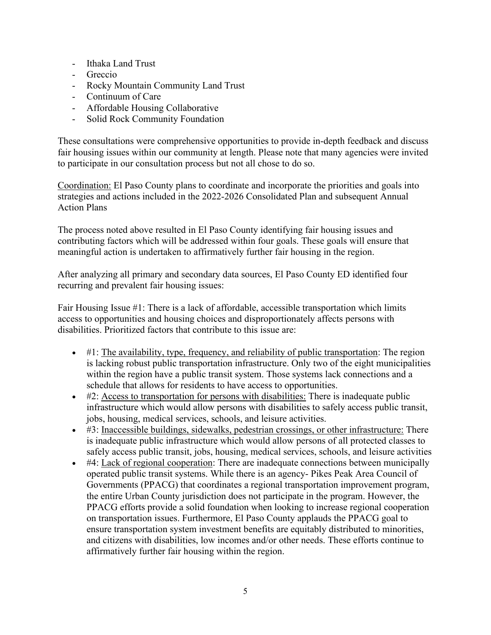- Ithaka Land Trust
- Greccio
- Rocky Mountain Community Land Trust
- Continuum of Care
- Affordable Housing Collaborative
- Solid Rock Community Foundation

These consultations were comprehensive opportunities to provide in-depth feedback and discuss fair housing issues within our community at length. Please note that many agencies were invited to participate in our consultation process but not all chose to do so.

Coordination: El Paso County plans to coordinate and incorporate the priorities and goals into strategies and actions included in the 2022-2026 Consolidated Plan and subsequent Annual Action Plans

The process noted above resulted in El Paso County identifying fair housing issues and contributing factors which will be addressed within four goals. These goals will ensure that meaningful action is undertaken to affirmatively further fair housing in the region.

After analyzing all primary and secondary data sources, El Paso County ED identified four recurring and prevalent fair housing issues:

Fair Housing Issue #1: There is a lack of affordable, accessible transportation which limits access to opportunities and housing choices and disproportionately affects persons with disabilities. Prioritized factors that contribute to this issue are:

- #1: The availability, type, frequency, and reliability of public transportation: The region is lacking robust public transportation infrastructure. Only two of the eight municipalities within the region have a public transit system. Those systems lack connections and a schedule that allows for residents to have access to opportunities.
- #2: Access to transportation for persons with disabilities: There is inadequate public infrastructure which would allow persons with disabilities to safely access public transit, jobs, housing, medical services, schools, and leisure activities.
- #3: Inaccessible buildings, sidewalks, pedestrian crossings, or other infrastructure: There is inadequate public infrastructure which would allow persons of all protected classes to safely access public transit, jobs, housing, medical services, schools, and leisure activities
- #4: Lack of regional cooperation: There are inadequate connections between municipally operated public transit systems. While there is an agency- Pikes Peak Area Council of Governments (PPACG) that coordinates a regional transportation improvement program, the entire Urban County jurisdiction does not participate in the program. However, the PPACG efforts provide a solid foundation when looking to increase regional cooperation on transportation issues. Furthermore, El Paso County applauds the PPACG goal to ensure transportation system investment benefits are equitably distributed to minorities, and citizens with disabilities, low incomes and/or other needs. These efforts continue to affirmatively further fair housing within the region.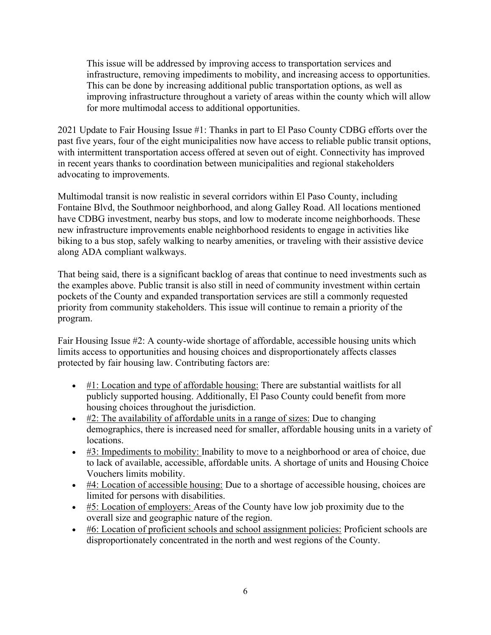This issue will be addressed by improving access to transportation services and infrastructure, removing impediments to mobility, and increasing access to opportunities. This can be done by increasing additional public transportation options, as well as improving infrastructure throughout a variety of areas within the county which will allow for more multimodal access to additional opportunities.

2021 Update to Fair Housing Issue #1: Thanks in part to El Paso County CDBG efforts over the past five years, four of the eight municipalities now have access to reliable public transit options, with intermittent transportation access offered at seven out of eight. Connectivity has improved in recent years thanks to coordination between municipalities and regional stakeholders advocating to improvements.

Multimodal transit is now realistic in several corridors within El Paso County, including Fontaine Blvd, the Southmoor neighborhood, and along Galley Road. All locations mentioned have CDBG investment, nearby bus stops, and low to moderate income neighborhoods. These new infrastructure improvements enable neighborhood residents to engage in activities like biking to a bus stop, safely walking to nearby amenities, or traveling with their assistive device along ADA compliant walkways.

That being said, there is a significant backlog of areas that continue to need investments such as the examples above. Public transit is also still in need of community investment within certain pockets of the County and expanded transportation services are still a commonly requested priority from community stakeholders. This issue will continue to remain a priority of the program.

Fair Housing Issue #2: A county-wide shortage of affordable, accessible housing units which limits access to opportunities and housing choices and disproportionately affects classes protected by fair housing law. Contributing factors are:

- $\bullet$  #1: Location and type of affordable housing: There are substantial waitlists for all publicly supported housing. Additionally, El Paso County could benefit from more housing choices throughout the jurisdiction.
- $\bullet$  #2: The availability of affordable units in a range of sizes: Due to changing demographics, there is increased need for smaller, affordable housing units in a variety of locations.
- #3: Impediments to mobility: Inability to move to a neighborhood or area of choice, due to lack of available, accessible, affordable units. A shortage of units and Housing Choice Vouchers limits mobility.
- #4: Location of accessible housing: Due to a shortage of accessible housing, choices are limited for persons with disabilities.
- #5: Location of employers: Areas of the County have low job proximity due to the overall size and geographic nature of the region.
- $\bullet$  #6: Location of proficient schools and school assignment policies: Proficient schools are disproportionately concentrated in the north and west regions of the County.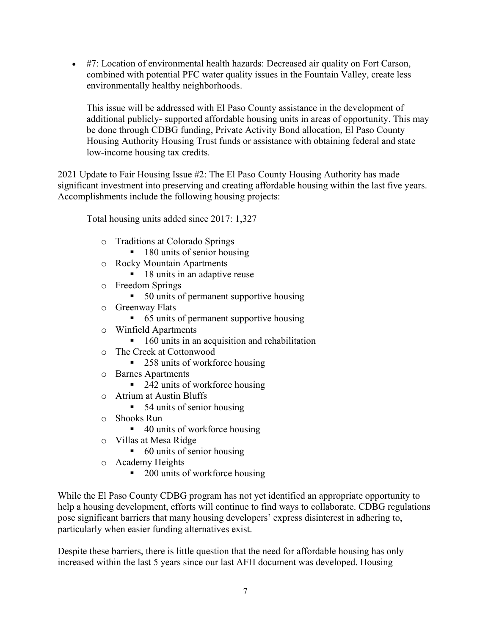$\bullet$  #7: Location of environmental health hazards: Decreased air quality on Fort Carson, combined with potential PFC water quality issues in the Fountain Valley, create less environmentally healthy neighborhoods.

This issue will be addressed with El Paso County assistance in the development of additional publicly- supported affordable housing units in areas of opportunity. This may be done through CDBG funding, Private Activity Bond allocation, El Paso County Housing Authority Housing Trust funds or assistance with obtaining federal and state low-income housing tax credits.

2021 Update to Fair Housing Issue #2: The El Paso County Housing Authority has made significant investment into preserving and creating affordable housing within the last five years. Accomplishments include the following housing projects:

Total housing units added since 2017: 1,327

- o Traditions at Colorado Springs
	- $\blacksquare$  180 units of senior housing
- o Rocky Mountain Apartments
	- 18 units in an adaptive reuse
- o Freedom Springs
	- 50 units of permanent supportive housing
- o Greenway Flats
	- 65 units of permanent supportive housing
- o Winfield Apartments
	- $\blacksquare$  160 units in an acquisition and rehabilitation
- o The Creek at Cottonwood
	- $\blacksquare$  258 units of workforce housing
- o Barnes Apartments
	- $\blacksquare$  242 units of workforce housing
- o Atrium at Austin Bluffs
	- $\blacksquare$  54 units of senior housing
- o Shooks Run
	- $\blacksquare$  40 units of workforce housing
- o Villas at Mesa Ridge
	- $\blacksquare$  60 units of senior housing
- o Academy Heights
	- $\blacksquare$  200 units of workforce housing

While the El Paso County CDBG program has not yet identified an appropriate opportunity to help a housing development, efforts will continue to find ways to collaborate. CDBG regulations pose significant barriers that many housing developers' express disinterest in adhering to, particularly when easier funding alternatives exist.

Despite these barriers, there is little question that the need for affordable housing has only increased within the last 5 years since our last AFH document was developed. Housing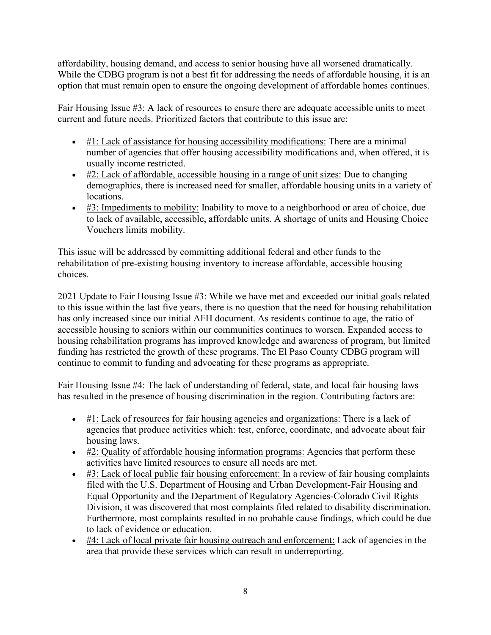affordability, housing demand, and access to senior housing have all worsened dramatically. While the CDBG program is not a best fit for addressing the needs of affordable housing, it is an option that must remain open to ensure the ongoing development of affordable homes continues.

Fair Housing Issue #3: A lack of resources to ensure there are adequate accessible units to meet current and future needs. Prioritized factors that contribute to this issue are:

- $\bullet$  #1: Lack of assistance for housing accessibility modifications: There are a minimal number of agencies that offer housing accessibility modifications and, when offered, it is usually income restricted.
- #2: Lack of affordable, accessible housing in a range of unit sizes: Due to changing demographics, there is increased need for smaller, affordable housing units in a variety of locations.
- #3: Impediments to mobility: Inability to move to a neighborhood or area of choice, due to lack of available, accessible, affordable units. A shortage of units and Housing Choice Vouchers limits mobility.

This issue will be addressed by committing additional federal and other funds to the rehabilitation of pre-existing housing inventory to increase affordable, accessible housing choices.

2021 Update to Fair Housing Issue #3: While we have met and exceeded our initial goals related to this issue within the last five years, there is no question that the need for housing rehabilitation has only increased since our initial AFH document. As residents continue to age, the ratio of accessible housing to seniors within our communities continues to worsen. Expanded access to housing rehabilitation programs has improved knowledge and awareness of program, but limited funding has restricted the growth of these programs. The El Paso County CDBG program will continue to commit to funding and advocating for these programs as appropriate.

Fair Housing Issue #4: The lack of understanding of federal, state, and local fair housing laws has resulted in the presence of housing discrimination in the region. Contributing factors are:

- #1: Lack of resources for fair housing agencies and organizations: There is a lack of agencies that produce activities which: test, enforce, coordinate, and advocate about fair housing laws.
- #2: Quality of affordable housing information programs: Agencies that perform these activities have limited resources to ensure all needs are met.
- #3: Lack of local public fair housing enforcement: In a review of fair housing complaints filed with the U.S. Department of Housing and Urban Development-Fair Housing and Equal Opportunity and the Department of Regulatory Agencies-Colorado Civil Rights Division, it was discovered that most complaints filed related to disability discrimination. Furthermore, most complaints resulted in no probable cause findings, which could be due to lack of evidence or education.
- #4: Lack of local private fair housing outreach and enforcement: Lack of agencies in the area that provide these services which can result in underreporting.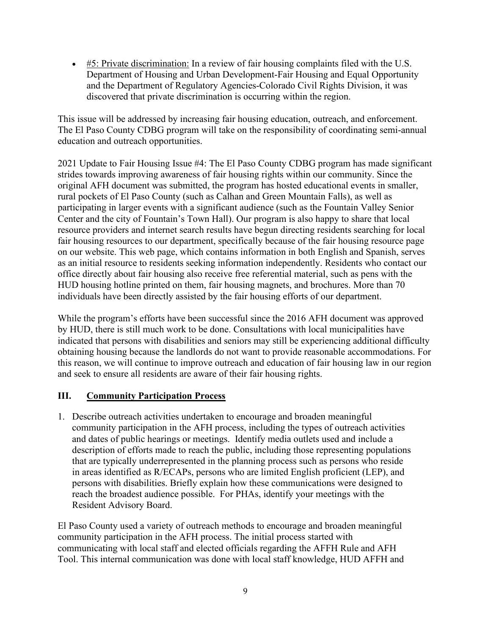$\bullet$  #5: Private discrimination: In a review of fair housing complaints filed with the U.S. Department of Housing and Urban Development-Fair Housing and Equal Opportunity and the Department of Regulatory Agencies-Colorado Civil Rights Division, it was discovered that private discrimination is occurring within the region.

This issue will be addressed by increasing fair housing education, outreach, and enforcement. The El Paso County CDBG program will take on the responsibility of coordinating semi-annual education and outreach opportunities.

2021 Update to Fair Housing Issue #4: The El Paso County CDBG program has made significant strides towards improving awareness of fair housing rights within our community. Since the original AFH document was submitted, the program has hosted educational events in smaller, rural pockets of El Paso County (such as Calhan and Green Mountain Falls), as well as participating in larger events with a significant audience (such as the Fountain Valley Senior Center and the city of Fountain's Town Hall). Our program is also happy to share that local resource providers and internet search results have begun directing residents searching for local fair housing resources to our department, specifically because of the fair housing resource page on our website. This web page, which contains information in both English and Spanish, serves as an initial resource to residents seeking information independently. Residents who contact our office directly about fair housing also receive free referential material, such as pens with the HUD housing hotline printed on them, fair housing magnets, and brochures. More than 70 individuals have been directly assisted by the fair housing efforts of our department.

While the program's efforts have been successful since the 2016 AFH document was approved by HUD, there is still much work to be done. Consultations with local municipalities have indicated that persons with disabilities and seniors may still be experiencing additional difficulty obtaining housing because the landlords do not want to provide reasonable accommodations. For this reason, we will continue to improve outreach and education of fair housing law in our region and seek to ensure all residents are aware of their fair housing rights.

# **III. Community Participation Process**

1. Describe outreach activities undertaken to encourage and broaden meaningful community participation in the AFH process, including the types of outreach activities and dates of public hearings or meetings. Identify media outlets used and include a description of efforts made to reach the public, including those representing populations that are typically underrepresented in the planning process such as persons who reside in areas identified as R/ECAPs, persons who are limited English proficient (LEP), and persons with disabilities. Briefly explain how these communications were designed to reach the broadest audience possible. For PHAs, identify your meetings with the Resident Advisory Board.

El Paso County used a variety of outreach methods to encourage and broaden meaningful community participation in the AFH process. The initial process started with communicating with local staff and elected officials regarding the AFFH Rule and AFH Tool. This internal communication was done with local staff knowledge, HUD AFFH and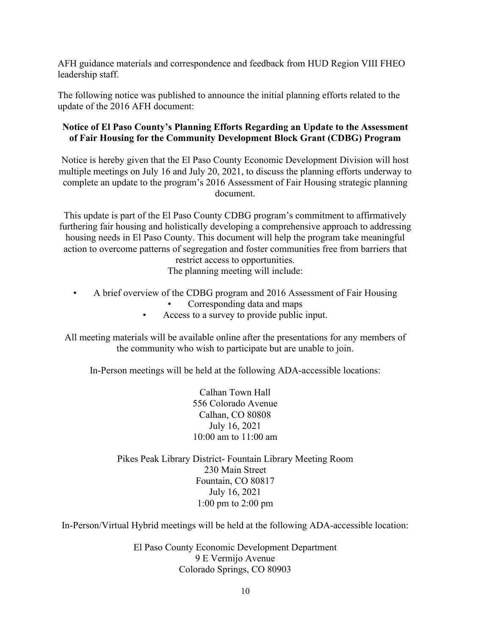AFH guidance materials and correspondence and feedback from HUD Region VIII FHEO leadership staff.

The following notice was published to announce the initial planning efforts related to the update of the 2016 AFH document:

#### **Notice of El Paso County's Planning Efforts Regarding an Update to the Assessment of Fair Housing for the Community Development Block Grant (CDBG) Program**

Notice is hereby given that the El Paso County Economic Development Division will host multiple meetings on July 16 and July 20, 2021, to discuss the planning efforts underway to complete an update to the program's 2016 Assessment of Fair Housing strategic planning document.

This update is part of the El Paso County CDBG program's commitment to affirmatively furthering fair housing and holistically developing a comprehensive approach to addressing housing needs in El Paso County. This document will help the program take meaningful action to overcome patterns of segregation and foster communities free from barriers that restrict access to opportunities. The planning meeting will include:

- A brief overview of the CDBG program and 2016 Assessment of Fair Housing • Corresponding data and maps
	- Access to a survey to provide public input.

All meeting materials will be available online after the presentations for any members of the community who wish to participate but are unable to join.

In-Person meetings will be held at the following ADA-accessible locations:

Calhan Town Hall 556 Colorado Avenue Calhan, CO 80808 July 16, 2021 10:00 am to 11:00 am

Pikes Peak Library District- Fountain Library Meeting Room 230 Main Street Fountain, CO 80817 July 16, 2021 1:00 pm to 2:00 pm

In-Person/Virtual Hybrid meetings will be held at the following ADA-accessible location:

El Paso County Economic Development Department 9 E Vermijo Avenue Colorado Springs, CO 80903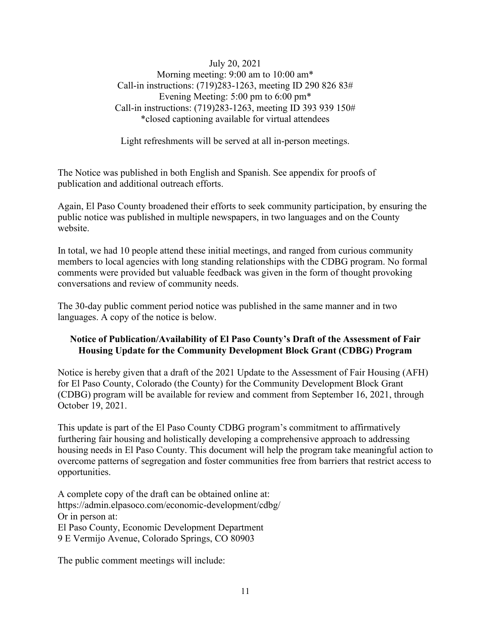July 20, 2021 Morning meeting: 9:00 am to 10:00 am\* Call-in instructions: (719)283-1263, meeting ID 290 826 83# Evening Meeting: 5:00 pm to 6:00 pm\* Call-in instructions: (719)283-1263, meeting ID 393 939 150# \*closed captioning available for virtual attendees

Light refreshments will be served at all in-person meetings.

The Notice was published in both English and Spanish. See appendix for proofs of publication and additional outreach efforts.

Again, El Paso County broadened their efforts to seek community participation, by ensuring the public notice was published in multiple newspapers, in two languages and on the County website.

In total, we had 10 people attend these initial meetings, and ranged from curious community members to local agencies with long standing relationships with the CDBG program. No formal comments were provided but valuable feedback was given in the form of thought provoking conversations and review of community needs.

The 30-day public comment period notice was published in the same manner and in two languages. A copy of the notice is below.

## **Notice of Publication/Availability of El Paso County's Draft of the Assessment of Fair Housing Update for the Community Development Block Grant (CDBG) Program**

Notice is hereby given that a draft of the 2021 Update to the Assessment of Fair Housing (AFH) for El Paso County, Colorado (the County) for the Community Development Block Grant (CDBG) program will be available for review and comment from September 16, 2021, through October 19, 2021.

This update is part of the El Paso County CDBG program's commitment to affirmatively furthering fair housing and holistically developing a comprehensive approach to addressing housing needs in El Paso County. This document will help the program take meaningful action to overcome patterns of segregation and foster communities free from barriers that restrict access to opportunities.

A complete copy of the draft can be obtained online at: https://admin.elpasoco.com/economic-development/cdbg/ Or in person at: El Paso County, Economic Development Department 9 E Vermijo Avenue, Colorado Springs, CO 80903

The public comment meetings will include: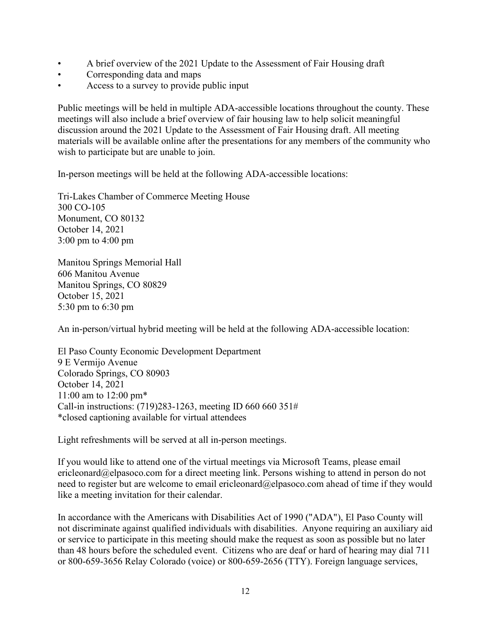- A brief overview of the 2021 Update to the Assessment of Fair Housing draft
- Corresponding data and maps
- Access to a survey to provide public input

Public meetings will be held in multiple ADA-accessible locations throughout the county. These meetings will also include a brief overview of fair housing law to help solicit meaningful discussion around the 2021 Update to the Assessment of Fair Housing draft. All meeting materials will be available online after the presentations for any members of the community who wish to participate but are unable to join.

In-person meetings will be held at the following ADA-accessible locations:

Tri-Lakes Chamber of Commerce Meeting House 300 CO-105 Monument, CO 80132 October 14, 2021 3:00 pm to 4:00 pm

Manitou Springs Memorial Hall 606 Manitou Avenue Manitou Springs, CO 80829 October 15, 2021 5:30 pm to 6:30 pm

An in-person/virtual hybrid meeting will be held at the following ADA-accessible location:

El Paso County Economic Development Department 9 E Vermijo Avenue Colorado Springs, CO 80903 October 14, 2021 11:00 am to 12:00 pm\* Call-in instructions: (719)283-1263, meeting ID 660 660 351# \*closed captioning available for virtual attendees

Light refreshments will be served at all in-person meetings.

If you would like to attend one of the virtual meetings via Microsoft Teams, please email ericleonard@elpasoco.com for a direct meeting link. Persons wishing to attend in person do not need to register but are welcome to email ericleonard@elpasoco.com ahead of time if they would like a meeting invitation for their calendar.

In accordance with the Americans with Disabilities Act of 1990 ("ADA"), El Paso County will not discriminate against qualified individuals with disabilities. Anyone requiring an auxiliary aid or service to participate in this meeting should make the request as soon as possible but no later than 48 hours before the scheduled event. Citizens who are deaf or hard of hearing may dial 711 or 800-659-3656 Relay Colorado (voice) or 800-659-2656 (TTY). Foreign language services,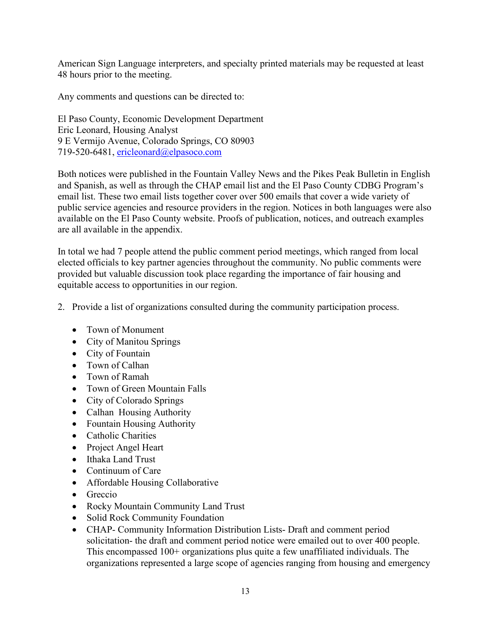American Sign Language interpreters, and specialty printed materials may be requested at least 48 hours prior to the meeting.

Any comments and questions can be directed to:

El Paso County, Economic Development Department Eric Leonard, Housing Analyst 9 E Vermijo Avenue, Colorado Springs, CO 80903 719-520-6481, [ericleonard@elpasoco.com](mailto:ericleonard@elpasoco.com)

Both notices were published in the Fountain Valley News and the Pikes Peak Bulletin in English and Spanish, as well as through the CHAP email list and the El Paso County CDBG Program's email list. These two email lists together cover over 500 emails that cover a wide variety of public service agencies and resource providers in the region. Notices in both languages were also available on the El Paso County website. Proofs of publication, notices, and outreach examples are all available in the appendix.

In total we had 7 people attend the public comment period meetings, which ranged from local elected officials to key partner agencies throughout the community. No public comments were provided but valuable discussion took place regarding the importance of fair housing and equitable access to opportunities in our region.

- 2. Provide a list of organizations consulted during the community participation process.
	- Town of Monument
	- City of Manitou Springs
	- City of Fountain
	- Town of Calhan
	- Town of Ramah
	- Town of Green Mountain Falls
	- City of Colorado Springs
	- Calhan Housing Authority
	- Fountain Housing Authority
	- Catholic Charities
	- Project Angel Heart
	- Ithaka Land Trust
	- Continuum of Care
	- Affordable Housing Collaborative
	- Greccio
	- Rocky Mountain Community Land Trust
	- Solid Rock Community Foundation
	- CHAP- Community Information Distribution Lists- Draft and comment period solicitation- the draft and comment period notice were emailed out to over 400 people. This encompassed 100+ organizations plus quite a few unaffiliated individuals. The organizations represented a large scope of agencies ranging from housing and emergency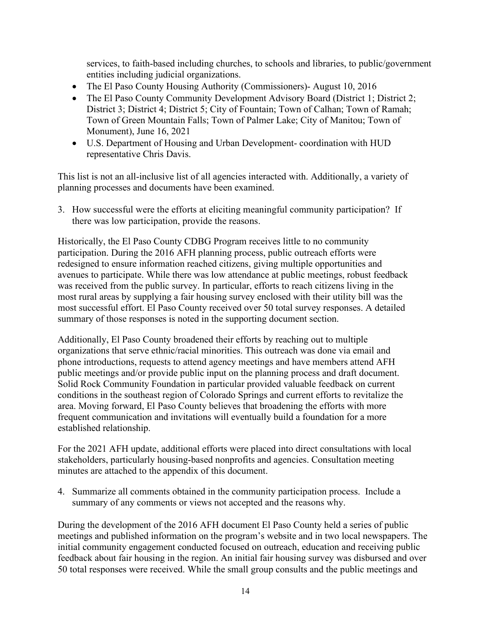services, to faith-based including churches, to schools and libraries, to public/government entities including judicial organizations.

- The El Paso County Housing Authority (Commissioners)- August 10, 2016
- The El Paso County Community Development Advisory Board (District 1; District 2; District 3; District 4; District 5; City of Fountain; Town of Calhan; Town of Ramah; Town of Green Mountain Falls; Town of Palmer Lake; City of Manitou; Town of Monument), June 16, 2021
- U.S. Department of Housing and Urban Development- coordination with HUD representative Chris Davis.

This list is not an all-inclusive list of all agencies interacted with. Additionally, a variety of planning processes and documents have been examined.

3. How successful were the efforts at eliciting meaningful community participation? If there was low participation, provide the reasons.

Historically, the El Paso County CDBG Program receives little to no community participation. During the 2016 AFH planning process, public outreach efforts were redesigned to ensure information reached citizens, giving multiple opportunities and avenues to participate. While there was low attendance at public meetings, robust feedback was received from the public survey. In particular, efforts to reach citizens living in the most rural areas by supplying a fair housing survey enclosed with their utility bill was the most successful effort. El Paso County received over 50 total survey responses. A detailed summary of those responses is noted in the supporting document section.

Additionally, El Paso County broadened their efforts by reaching out to multiple organizations that serve ethnic/racial minorities. This outreach was done via email and phone introductions, requests to attend agency meetings and have members attend AFH public meetings and/or provide public input on the planning process and draft document. Solid Rock Community Foundation in particular provided valuable feedback on current conditions in the southeast region of Colorado Springs and current efforts to revitalize the area. Moving forward, El Paso County believes that broadening the efforts with more frequent communication and invitations will eventually build a foundation for a more established relationship.

For the 2021 AFH update, additional efforts were placed into direct consultations with local stakeholders, particularly housing-based nonprofits and agencies. Consultation meeting minutes are attached to the appendix of this document.

4. Summarize all comments obtained in the community participation process. Include a summary of any comments or views not accepted and the reasons why.

During the development of the 2016 AFH document El Paso County held a series of public meetings and published information on the program's website and in two local newspapers. The initial community engagement conducted focused on outreach, education and receiving public feedback about fair housing in the region. An initial fair housing survey was disbursed and over 50 total responses were received. While the small group consults and the public meetings and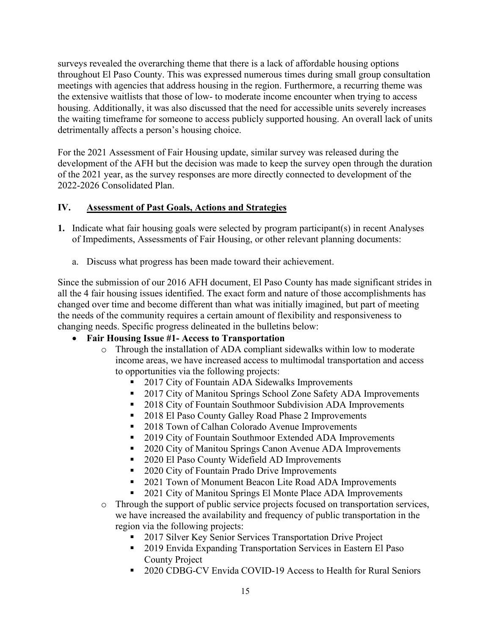surveys revealed the overarching theme that there is a lack of affordable housing options throughout El Paso County. This was expressed numerous times during small group consultation meetings with agencies that address housing in the region. Furthermore, a recurring theme was the extensive waitlists that those of low- to moderate income encounter when trying to access housing. Additionally, it was also discussed that the need for accessible units severely increases the waiting timeframe for someone to access publicly supported housing. An overall lack of units detrimentally affects a person's housing choice.

For the 2021 Assessment of Fair Housing update, similar survey was released during the development of the AFH but the decision was made to keep the survey open through the duration of the 2021 year, as the survey responses are more directly connected to development of the 2022-2026 Consolidated Plan.

# **IV. Assessment of Past Goals, Actions and Strategies**

- **1.** Indicate what fair housing goals were selected by program participant(s) in recent Analyses of Impediments, Assessments of Fair Housing, or other relevant planning documents:
	- a. Discuss what progress has been made toward their achievement.

Since the submission of our 2016 AFH document, El Paso County has made significant strides in all the 4 fair housing issues identified. The exact form and nature of those accomplishments has changed over time and become different than what was initially imagined, but part of meeting the needs of the community requires a certain amount of flexibility and responsiveness to changing needs. Specific progress delineated in the bulletins below:

# • **Fair Housing Issue #1- Access to Transportation**

- o Through the installation of ADA compliant sidewalks within low to moderate income areas, we have increased access to multimodal transportation and access to opportunities via the following projects:
	- 2017 City of Fountain ADA Sidewalks Improvements
	- <sup>2017</sup> City of Manitou Springs School Zone Safety ADA Improvements
	- 2018 City of Fountain Southmoor Subdivision ADA Improvements
	- 2018 El Paso County Galley Road Phase 2 Improvements
	- 2018 Town of Calhan Colorado Avenue Improvements
	- <sup>2019</sup> City of Fountain Southmoor Extended ADA Improvements
	- 2020 City of Manitou Springs Canon Avenue ADA Improvements
	- 2020 El Paso County Widefield AD Improvements
	- 2020 City of Fountain Prado Drive Improvements
	- 2021 Town of Monument Beacon Lite Road ADA Improvements
	- 2021 City of Manitou Springs El Monte Place ADA Improvements
- o Through the support of public service projects focused on transportation services, we have increased the availability and frequency of public transportation in the region via the following projects:
	- 2017 Silver Key Senior Services Transportation Drive Project
	- 2019 Envida Expanding Transportation Services in Eastern El Paso County Project
	- 2020 CDBG-CV Envida COVID-19 Access to Health for Rural Seniors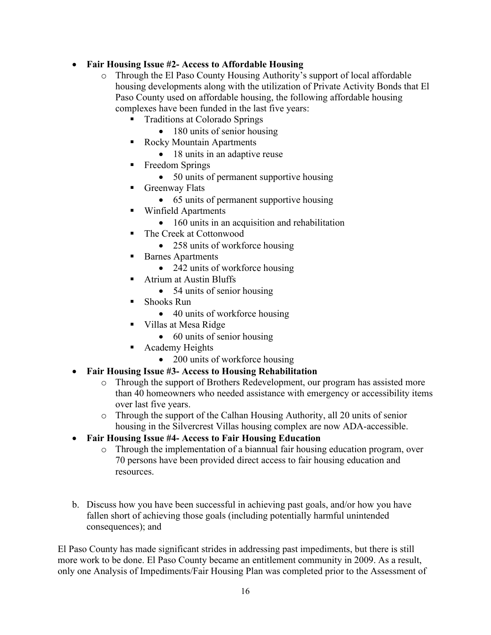# • **Fair Housing Issue #2- Access to Affordable Housing**

- o Through the El Paso County Housing Authority's support of local affordable housing developments along with the utilization of Private Activity Bonds that El Paso County used on affordable housing, the following affordable housing complexes have been funded in the last five years:
	- Traditions at Colorado Springs
		- 180 units of senior housing
	- Rocky Mountain Apartments
		- 18 units in an adaptive reuse
	- Freedom Springs
		- 50 units of permanent supportive housing
	- **Greenway Flats** 
		- 65 units of permanent supportive housing
	- Winfield Apartments
		- 160 units in an acquisition and rehabilitation
	- The Creek at Cottonwood
		- 258 units of workforce housing
	- Barnes Apartments
		- 242 units of workforce housing
	- Atrium at Austin Bluffs
		- 54 units of senior housing
	- Shooks Run
		- 40 units of workforce housing
	- Villas at Mesa Ridge
		- 60 units of senior housing
	- **Academy Heights** 
		- 200 units of workforce housing
- **Fair Housing Issue #3- Access to Housing Rehabilitation**
	- o Through the support of Brothers Redevelopment, our program has assisted more than 40 homeowners who needed assistance with emergency or accessibility items over last five years.
	- o Through the support of the Calhan Housing Authority, all 20 units of senior housing in the Silvercrest Villas housing complex are now ADA-accessible.
- **Fair Housing Issue #4- Access to Fair Housing Education**
	- o Through the implementation of a biannual fair housing education program, over 70 persons have been provided direct access to fair housing education and resources.
- b. Discuss how you have been successful in achieving past goals, and/or how you have fallen short of achieving those goals (including potentially harmful unintended consequences); and

El Paso County has made significant strides in addressing past impediments, but there is still more work to be done. El Paso County became an entitlement community in 2009. As a result, only one Analysis of Impediments/Fair Housing Plan was completed prior to the Assessment of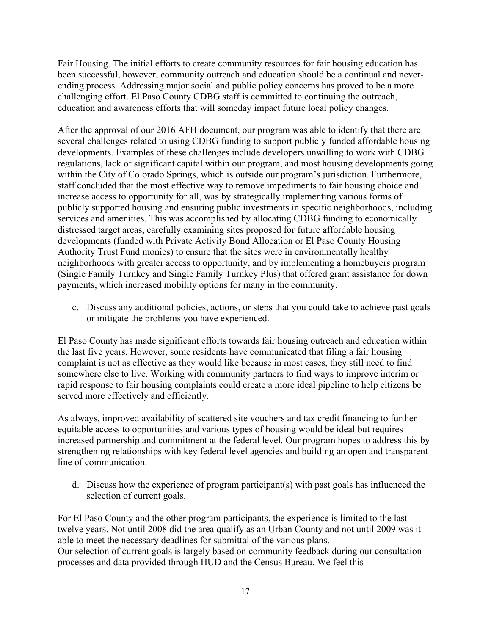Fair Housing. The initial efforts to create community resources for fair housing education has been successful, however, community outreach and education should be a continual and neverending process. Addressing major social and public policy concerns has proved to be a more challenging effort. El Paso County CDBG staff is committed to continuing the outreach, education and awareness efforts that will someday impact future local policy changes.

After the approval of our 2016 AFH document, our program was able to identify that there are several challenges related to using CDBG funding to support publicly funded affordable housing developments. Examples of these challenges include developers unwilling to work with CDBG regulations, lack of significant capital within our program, and most housing developments going within the City of Colorado Springs, which is outside our program's jurisdiction. Furthermore, staff concluded that the most effective way to remove impediments to fair housing choice and increase access to opportunity for all, was by strategically implementing various forms of publicly supported housing and ensuring public investments in specific neighborhoods, including services and amenities. This was accomplished by allocating CDBG funding to economically distressed target areas, carefully examining sites proposed for future affordable housing developments (funded with Private Activity Bond Allocation or El Paso County Housing Authority Trust Fund monies) to ensure that the sites were in environmentally healthy neighborhoods with greater access to opportunity, and by implementing a homebuyers program (Single Family Turnkey and Single Family Turnkey Plus) that offered grant assistance for down payments, which increased mobility options for many in the community.

c. Discuss any additional policies, actions, or steps that you could take to achieve past goals or mitigate the problems you have experienced.

El Paso County has made significant efforts towards fair housing outreach and education within the last five years. However, some residents have communicated that filing a fair housing complaint is not as effective as they would like because in most cases, they still need to find somewhere else to live. Working with community partners to find ways to improve interim or rapid response to fair housing complaints could create a more ideal pipeline to help citizens be served more effectively and efficiently.

As always, improved availability of scattered site vouchers and tax credit financing to further equitable access to opportunities and various types of housing would be ideal but requires increased partnership and commitment at the federal level. Our program hopes to address this by strengthening relationships with key federal level agencies and building an open and transparent line of communication.

d. Discuss how the experience of program participant(s) with past goals has influenced the selection of current goals.

For El Paso County and the other program participants, the experience is limited to the last twelve years. Not until 2008 did the area qualify as an Urban County and not until 2009 was it able to meet the necessary deadlines for submittal of the various plans. Our selection of current goals is largely based on community feedback during our consultation processes and data provided through HUD and the Census Bureau. We feel this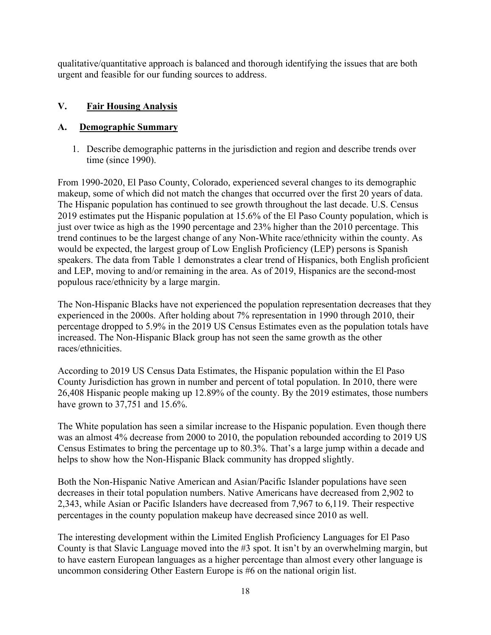qualitative/quantitative approach is balanced and thorough identifying the issues that are both urgent and feasible for our funding sources to address.

## **V. Fair Housing Analysis**

# **A. Demographic Summary**

1. Describe demographic patterns in the jurisdiction and region and describe trends over time (since 1990).

From 1990-2020, El Paso County, Colorado, experienced several changes to its demographic makeup, some of which did not match the changes that occurred over the first 20 years of data. The Hispanic population has continued to see growth throughout the last decade. U.S. Census 2019 estimates put the Hispanic population at 15.6% of the El Paso County population, which is just over twice as high as the 1990 percentage and 23% higher than the 2010 percentage. This trend continues to be the largest change of any Non-White race/ethnicity within the county. As would be expected, the largest group of Low English Proficiency (LEP) persons is Spanish speakers. The data from Table 1 demonstrates a clear trend of Hispanics, both English proficient and LEP, moving to and/or remaining in the area. As of 2019, Hispanics are the second-most populous race/ethnicity by a large margin.

The Non-Hispanic Blacks have not experienced the population representation decreases that they experienced in the 2000s. After holding about 7% representation in 1990 through 2010, their percentage dropped to 5.9% in the 2019 US Census Estimates even as the population totals have increased. The Non-Hispanic Black group has not seen the same growth as the other races/ethnicities.

According to 2019 US Census Data Estimates, the Hispanic population within the El Paso County Jurisdiction has grown in number and percent of total population. In 2010, there were 26,408 Hispanic people making up 12.89% of the county. By the 2019 estimates, those numbers have grown to 37,751 and 15.6%.

The White population has seen a similar increase to the Hispanic population. Even though there was an almost 4% decrease from 2000 to 2010, the population rebounded according to 2019 US Census Estimates to bring the percentage up to 80.3%. That's a large jump within a decade and helps to show how the Non-Hispanic Black community has dropped slightly.

Both the Non-Hispanic Native American and Asian/Pacific Islander populations have seen decreases in their total population numbers. Native Americans have decreased from 2,902 to 2,343, while Asian or Pacific Islanders have decreased from 7,967 to 6,119. Their respective percentages in the county population makeup have decreased since 2010 as well.

The interesting development within the Limited English Proficiency Languages for El Paso County is that Slavic Language moved into the #3 spot. It isn't by an overwhelming margin, but to have eastern European languages as a higher percentage than almost every other language is uncommon considering Other Eastern Europe is #6 on the national origin list.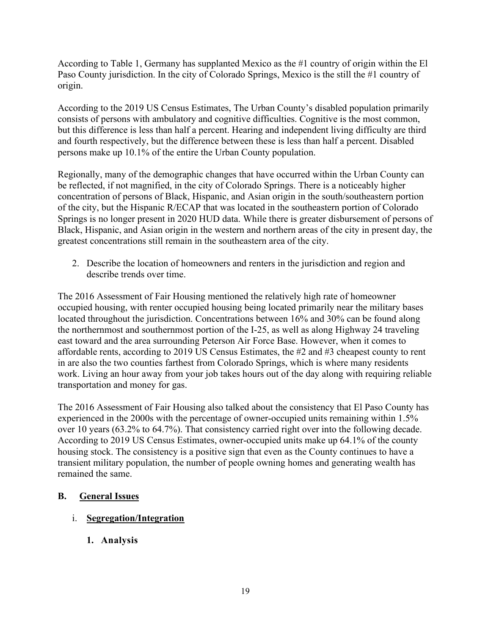According to Table 1, Germany has supplanted Mexico as the #1 country of origin within the El Paso County jurisdiction. In the city of Colorado Springs, Mexico is the still the #1 country of origin.

According to the 2019 US Census Estimates, The Urban County's disabled population primarily consists of persons with ambulatory and cognitive difficulties. Cognitive is the most common, but this difference is less than half a percent. Hearing and independent living difficulty are third and fourth respectively, but the difference between these is less than half a percent. Disabled persons make up 10.1% of the entire the Urban County population.

Regionally, many of the demographic changes that have occurred within the Urban County can be reflected, if not magnified, in the city of Colorado Springs. There is a noticeably higher concentration of persons of Black, Hispanic, and Asian origin in the south/southeastern portion of the city, but the Hispanic R/ECAP that was located in the southeastern portion of Colorado Springs is no longer present in 2020 HUD data. While there is greater disbursement of persons of Black, Hispanic, and Asian origin in the western and northern areas of the city in present day, the greatest concentrations still remain in the southeastern area of the city.

2. Describe the location of homeowners and renters in the jurisdiction and region and describe trends over time.

The 2016 Assessment of Fair Housing mentioned the relatively high rate of homeowner occupied housing, with renter occupied housing being located primarily near the military bases located throughout the jurisdiction. Concentrations between 16% and 30% can be found along the northernmost and southernmost portion of the I-25, as well as along Highway 24 traveling east toward and the area surrounding Peterson Air Force Base. However, when it comes to affordable rents, according to 2019 US Census Estimates, the #2 and #3 cheapest county to rent in are also the two counties farthest from Colorado Springs, which is where many residents work. Living an hour away from your job takes hours out of the day along with requiring reliable transportation and money for gas.

The 2016 Assessment of Fair Housing also talked about the consistency that El Paso County has experienced in the 2000s with the percentage of owner-occupied units remaining within 1.5% over 10 years (63.2% to 64.7%). That consistency carried right over into the following decade. According to 2019 US Census Estimates, owner-occupied units make up 64.1% of the county housing stock. The consistency is a positive sign that even as the County continues to have a transient military population, the number of people owning homes and generating wealth has remained the same.

## **B. General Issues**

# i. **Segregation/Integration**

**1. Analysis**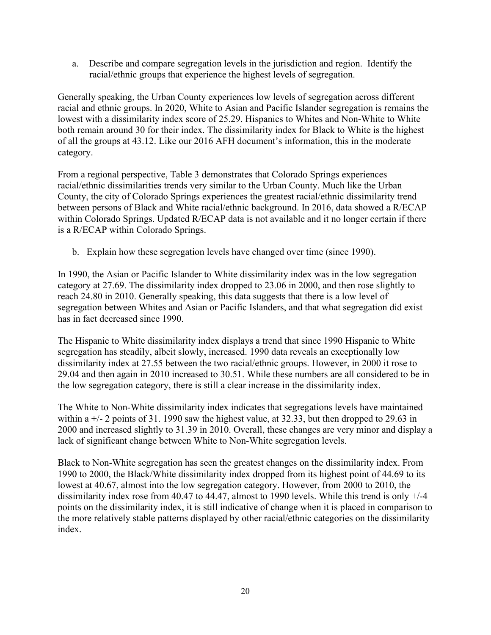a. Describe and compare segregation levels in the jurisdiction and region. Identify the racial/ethnic groups that experience the highest levels of segregation.

Generally speaking, the Urban County experiences low levels of segregation across different racial and ethnic groups. In 2020, White to Asian and Pacific Islander segregation is remains the lowest with a dissimilarity index score of 25.29. Hispanics to Whites and Non-White to White both remain around 30 for their index. The dissimilarity index for Black to White is the highest of all the groups at 43.12. Like our 2016 AFH document's information, this in the moderate category.

From a regional perspective, Table 3 demonstrates that Colorado Springs experiences racial/ethnic dissimilarities trends very similar to the Urban County. Much like the Urban County, the city of Colorado Springs experiences the greatest racial/ethnic dissimilarity trend between persons of Black and White racial/ethnic background. In 2016, data showed a R/ECAP within Colorado Springs. Updated R/ECAP data is not available and it no longer certain if there is a R/ECAP within Colorado Springs.

b. Explain how these segregation levels have changed over time (since 1990).

In 1990, the Asian or Pacific Islander to White dissimilarity index was in the low segregation category at 27.69. The dissimilarity index dropped to 23.06 in 2000, and then rose slightly to reach 24.80 in 2010. Generally speaking, this data suggests that there is a low level of segregation between Whites and Asian or Pacific Islanders, and that what segregation did exist has in fact decreased since 1990.

The Hispanic to White dissimilarity index displays a trend that since 1990 Hispanic to White segregation has steadily, albeit slowly, increased. 1990 data reveals an exceptionally low dissimilarity index at 27.55 between the two racial/ethnic groups. However, in 2000 it rose to 29.04 and then again in 2010 increased to 30.51. While these numbers are all considered to be in the low segregation category, there is still a clear increase in the dissimilarity index.

The White to Non-White dissimilarity index indicates that segregations levels have maintained within a  $+/-$  2 points of 31. 1990 saw the highest value, at 32.33, but then dropped to 29.63 in 2000 and increased slightly to 31.39 in 2010. Overall, these changes are very minor and display a lack of significant change between White to Non-White segregation levels.

Black to Non-White segregation has seen the greatest changes on the dissimilarity index. From 1990 to 2000, the Black/White dissimilarity index dropped from its highest point of 44.69 to its lowest at 40.67, almost into the low segregation category. However, from 2000 to 2010, the dissimilarity index rose from 40.47 to 44.47, almost to 1990 levels. While this trend is only +/-4 points on the dissimilarity index, it is still indicative of change when it is placed in comparison to the more relatively stable patterns displayed by other racial/ethnic categories on the dissimilarity index.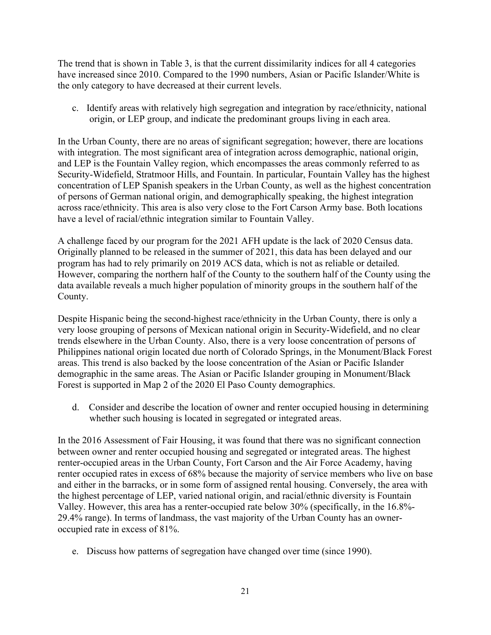The trend that is shown in Table 3, is that the current dissimilarity indices for all 4 categories have increased since 2010. Compared to the 1990 numbers, Asian or Pacific Islander/White is the only category to have decreased at their current levels.

c. Identify areas with relatively high segregation and integration by race/ethnicity, national origin, or LEP group, and indicate the predominant groups living in each area.

In the Urban County, there are no areas of significant segregation; however, there are locations with integration. The most significant area of integration across demographic, national origin, and LEP is the Fountain Valley region, which encompasses the areas commonly referred to as Security-Widefield, Stratmoor Hills, and Fountain. In particular, Fountain Valley has the highest concentration of LEP Spanish speakers in the Urban County, as well as the highest concentration of persons of German national origin, and demographically speaking, the highest integration across race/ethnicity. This area is also very close to the Fort Carson Army base. Both locations have a level of racial/ethnic integration similar to Fountain Valley.

A challenge faced by our program for the 2021 AFH update is the lack of 2020 Census data. Originally planned to be released in the summer of 2021, this data has been delayed and our program has had to rely primarily on 2019 ACS data, which is not as reliable or detailed. However, comparing the northern half of the County to the southern half of the County using the data available reveals a much higher population of minority groups in the southern half of the County.

Despite Hispanic being the second-highest race/ethnicity in the Urban County, there is only a very loose grouping of persons of Mexican national origin in Security-Widefield, and no clear trends elsewhere in the Urban County. Also, there is a very loose concentration of persons of Philippines national origin located due north of Colorado Springs, in the Monument/Black Forest areas. This trend is also backed by the loose concentration of the Asian or Pacific Islander demographic in the same areas. The Asian or Pacific Islander grouping in Monument/Black Forest is supported in Map 2 of the 2020 El Paso County demographics.

d. Consider and describe the location of owner and renter occupied housing in determining whether such housing is located in segregated or integrated areas.

In the 2016 Assessment of Fair Housing, it was found that there was no significant connection between owner and renter occupied housing and segregated or integrated areas. The highest renter-occupied areas in the Urban County, Fort Carson and the Air Force Academy, having renter occupied rates in excess of 68% because the majority of service members who live on base and either in the barracks, or in some form of assigned rental housing. Conversely, the area with the highest percentage of LEP, varied national origin, and racial/ethnic diversity is Fountain Valley. However, this area has a renter-occupied rate below 30% (specifically, in the 16.8%- 29.4% range). In terms of landmass, the vast majority of the Urban County has an owneroccupied rate in excess of 81%.

e. Discuss how patterns of segregation have changed over time (since 1990).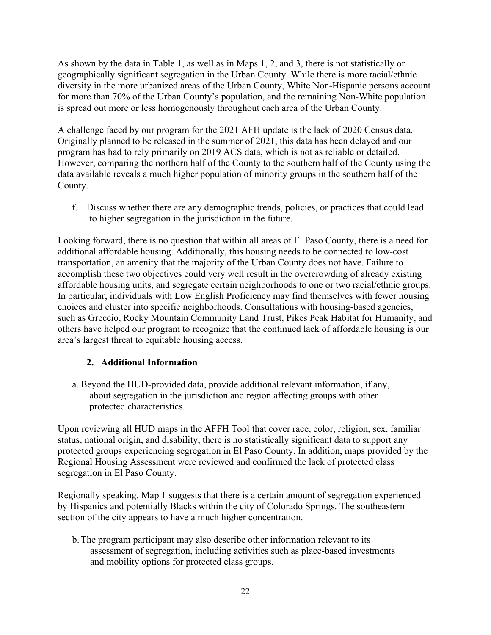As shown by the data in Table 1, as well as in Maps 1, 2, and 3, there is not statistically or geographically significant segregation in the Urban County. While there is more racial/ethnic diversity in the more urbanized areas of the Urban County, White Non-Hispanic persons account for more than 70% of the Urban County's population, and the remaining Non-White population is spread out more or less homogenously throughout each area of the Urban County.

A challenge faced by our program for the 2021 AFH update is the lack of 2020 Census data. Originally planned to be released in the summer of 2021, this data has been delayed and our program has had to rely primarily on 2019 ACS data, which is not as reliable or detailed. However, comparing the northern half of the County to the southern half of the County using the data available reveals a much higher population of minority groups in the southern half of the County.

f. Discuss whether there are any demographic trends, policies, or practices that could lead to higher segregation in the jurisdiction in the future.

Looking forward, there is no question that within all areas of El Paso County, there is a need for additional affordable housing. Additionally, this housing needs to be connected to low-cost transportation, an amenity that the majority of the Urban County does not have. Failure to accomplish these two objectives could very well result in the overcrowding of already existing affordable housing units, and segregate certain neighborhoods to one or two racial/ethnic groups. In particular, individuals with Low English Proficiency may find themselves with fewer housing choices and cluster into specific neighborhoods. Consultations with housing-based agencies, such as Greccio, Rocky Mountain Community Land Trust, Pikes Peak Habitat for Humanity, and others have helped our program to recognize that the continued lack of affordable housing is our area's largest threat to equitable housing access.

# **2. Additional Information**

a. Beyond the HUD-provided data, provide additional relevant information, if any, about segregation in the jurisdiction and region affecting groups with other protected characteristics.

Upon reviewing all HUD maps in the AFFH Tool that cover race, color, religion, sex, familiar status, national origin, and disability, there is no statistically significant data to support any protected groups experiencing segregation in El Paso County. In addition, maps provided by the Regional Housing Assessment were reviewed and confirmed the lack of protected class segregation in El Paso County.

Regionally speaking, Map 1 suggests that there is a certain amount of segregation experienced by Hispanics and potentially Blacks within the city of Colorado Springs. The southeastern section of the city appears to have a much higher concentration.

b.The program participant may also describe other information relevant to its assessment of segregation, including activities such as place-based investments and mobility options for protected class groups.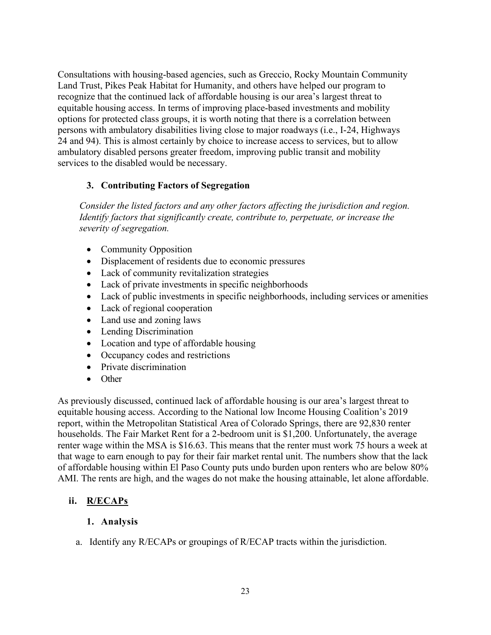Consultations with housing-based agencies, such as Greccio, Rocky Mountain Community Land Trust, Pikes Peak Habitat for Humanity, and others have helped our program to recognize that the continued lack of affordable housing is our area's largest threat to equitable housing access. In terms of improving place-based investments and mobility options for protected class groups, it is worth noting that there is a correlation between persons with ambulatory disabilities living close to major roadways (i.e., I-24, Highways 24 and 94). This is almost certainly by choice to increase access to services, but to allow ambulatory disabled persons greater freedom, improving public transit and mobility services to the disabled would be necessary.

## **3. Contributing Factors of Segregation**

*Consider the listed factors and any other factors affecting the jurisdiction and region. Identify factors that significantly create, contribute to, perpetuate, or increase the severity of segregation.*

- Community Opposition
- Displacement of residents due to economic pressures
- Lack of community revitalization strategies
- Lack of private investments in specific neighborhoods
- Lack of public investments in specific neighborhoods, including services or amenities
- Lack of regional cooperation
- Land use and zoning laws
- Lending Discrimination
- Location and type of affordable housing
- Occupancy codes and restrictions
- Private discrimination
- Other

As previously discussed, continued lack of affordable housing is our area's largest threat to equitable housing access. According to the National low Income Housing Coalition's 2019 report, within the Metropolitan Statistical Area of Colorado Springs, there are 92,830 renter households. The Fair Market Rent for a 2-bedroom unit is \$1,200. Unfortunately, the average renter wage within the MSA is \$16.63. This means that the renter must work 75 hours a week at that wage to earn enough to pay for their fair market rental unit. The numbers show that the lack of affordable housing within El Paso County puts undo burden upon renters who are below 80% AMI. The rents are high, and the wages do not make the housing attainable, let alone affordable.

# **ii. R/ECAPs**

## **1. Analysis**

a. Identify any R/ECAPs or groupings of R/ECAP tracts within the jurisdiction.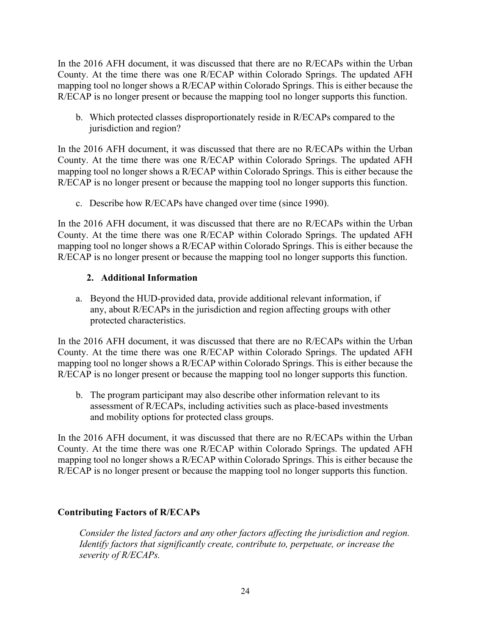In the 2016 AFH document, it was discussed that there are no R/ECAPs within the Urban County. At the time there was one R/ECAP within Colorado Springs. The updated AFH mapping tool no longer shows a R/ECAP within Colorado Springs. This is either because the R/ECAP is no longer present or because the mapping tool no longer supports this function.

b. Which protected classes disproportionately reside in R/ECAPs compared to the jurisdiction and region?

In the 2016 AFH document, it was discussed that there are no R/ECAPs within the Urban County. At the time there was one R/ECAP within Colorado Springs. The updated AFH mapping tool no longer shows a R/ECAP within Colorado Springs. This is either because the R/ECAP is no longer present or because the mapping tool no longer supports this function.

c. Describe how R/ECAPs have changed over time (since 1990).

In the 2016 AFH document, it was discussed that there are no R/ECAPs within the Urban County. At the time there was one R/ECAP within Colorado Springs. The updated AFH mapping tool no longer shows a R/ECAP within Colorado Springs. This is either because the R/ECAP is no longer present or because the mapping tool no longer supports this function.

## **2. Additional Information**

a. Beyond the HUD-provided data, provide additional relevant information, if any, about R/ECAPs in the jurisdiction and region affecting groups with other protected characteristics.

In the 2016 AFH document, it was discussed that there are no R/ECAPs within the Urban County. At the time there was one R/ECAP within Colorado Springs. The updated AFH mapping tool no longer shows a R/ECAP within Colorado Springs. This is either because the R/ECAP is no longer present or because the mapping tool no longer supports this function.

b. The program participant may also describe other information relevant to its assessment of R/ECAPs, including activities such as place-based investments and mobility options for protected class groups.

In the 2016 AFH document, it was discussed that there are no R/ECAPs within the Urban County. At the time there was one R/ECAP within Colorado Springs. The updated AFH mapping tool no longer shows a R/ECAP within Colorado Springs. This is either because the R/ECAP is no longer present or because the mapping tool no longer supports this function.

## **Contributing Factors of R/ECAPs**

*Consider the listed factors and any other factors affecting the jurisdiction and region. Identify factors that significantly create, contribute to, perpetuate, or increase the severity of R/ECAPs.*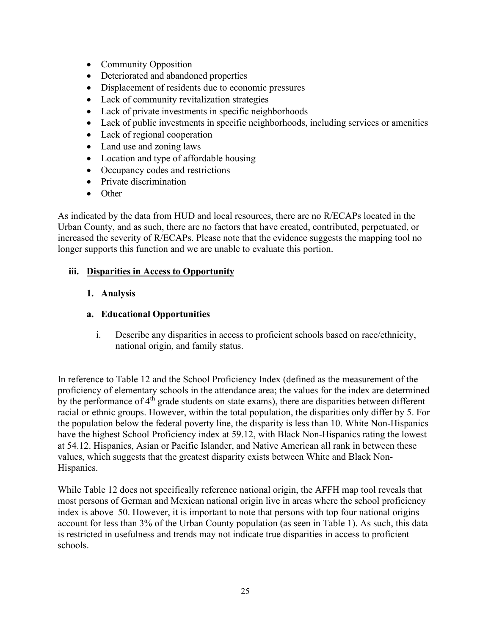- Community Opposition
- Deteriorated and abandoned properties
- Displacement of residents due to economic pressures
- Lack of community revitalization strategies
- Lack of private investments in specific neighborhoods
- Lack of public investments in specific neighborhoods, including services or amenities
- Lack of regional cooperation
- Land use and zoning laws
- Location and type of affordable housing
- Occupancy codes and restrictions
- Private discrimination
- Other

As indicated by the data from HUD and local resources, there are no R/ECAPs located in the Urban County, and as such, there are no factors that have created, contributed, perpetuated, or increased the severity of R/ECAPs. Please note that the evidence suggests the mapping tool no longer supports this function and we are unable to evaluate this portion.

# **iii. Disparities in Access to Opportunity**

# **1. Analysis**

# **a. Educational Opportunities**

i. Describe any disparities in access to proficient schools based on race/ethnicity, national origin, and family status.

In reference to Table 12 and the School Proficiency Index (defined as the measurement of the proficiency of elementary schools in the attendance area; the values for the index are determined by the performance of  $4<sup>th</sup>$  grade students on state exams), there are disparities between different racial or ethnic groups. However, within the total population, the disparities only differ by 5. For the population below the federal poverty line, the disparity is less than 10. White Non-Hispanics have the highest School Proficiency index at 59.12, with Black Non-Hispanics rating the lowest at 54.12. Hispanics, Asian or Pacific Islander, and Native American all rank in between these values, which suggests that the greatest disparity exists between White and Black Non-Hispanics.

While Table 12 does not specifically reference national origin, the AFFH map tool reveals that most persons of German and Mexican national origin live in areas where the school proficiency index is above 50. However, it is important to note that persons with top four national origins account for less than 3% of the Urban County population (as seen in Table 1). As such, this data is restricted in usefulness and trends may not indicate true disparities in access to proficient schools.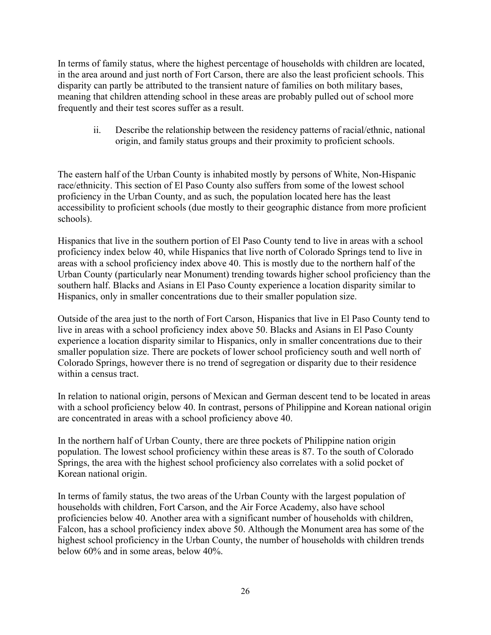In terms of family status, where the highest percentage of households with children are located, in the area around and just north of Fort Carson, there are also the least proficient schools. This disparity can partly be attributed to the transient nature of families on both military bases, meaning that children attending school in these areas are probably pulled out of school more frequently and their test scores suffer as a result.

ii. Describe the relationship between the residency patterns of racial/ethnic, national origin, and family status groups and their proximity to proficient schools.

The eastern half of the Urban County is inhabited mostly by persons of White, Non-Hispanic race/ethnicity. This section of El Paso County also suffers from some of the lowest school proficiency in the Urban County, and as such, the population located here has the least accessibility to proficient schools (due mostly to their geographic distance from more proficient schools).

Hispanics that live in the southern portion of El Paso County tend to live in areas with a school proficiency index below 40, while Hispanics that live north of Colorado Springs tend to live in areas with a school proficiency index above 40. This is mostly due to the northern half of the Urban County (particularly near Monument) trending towards higher school proficiency than the southern half. Blacks and Asians in El Paso County experience a location disparity similar to Hispanics, only in smaller concentrations due to their smaller population size.

Outside of the area just to the north of Fort Carson, Hispanics that live in El Paso County tend to live in areas with a school proficiency index above 50. Blacks and Asians in El Paso County experience a location disparity similar to Hispanics, only in smaller concentrations due to their smaller population size. There are pockets of lower school proficiency south and well north of Colorado Springs, however there is no trend of segregation or disparity due to their residence within a census tract.

In relation to national origin, persons of Mexican and German descent tend to be located in areas with a school proficiency below 40. In contrast, persons of Philippine and Korean national origin are concentrated in areas with a school proficiency above 40.

In the northern half of Urban County, there are three pockets of Philippine nation origin population. The lowest school proficiency within these areas is 87. To the south of Colorado Springs, the area with the highest school proficiency also correlates with a solid pocket of Korean national origin.

In terms of family status, the two areas of the Urban County with the largest population of households with children, Fort Carson, and the Air Force Academy, also have school proficiencies below 40. Another area with a significant number of households with children, Falcon, has a school proficiency index above 50. Although the Monument area has some of the highest school proficiency in the Urban County, the number of households with children trends below 60% and in some areas, below 40%.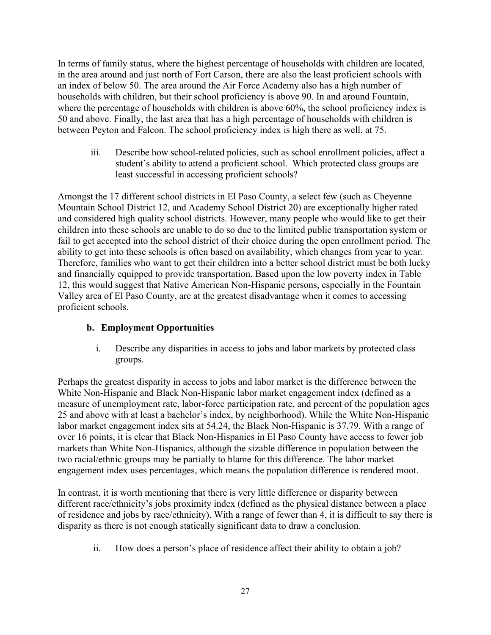In terms of family status, where the highest percentage of households with children are located, in the area around and just north of Fort Carson, there are also the least proficient schools with an index of below 50. The area around the Air Force Academy also has a high number of households with children, but their school proficiency is above 90. In and around Fountain, where the percentage of households with children is above 60%, the school proficiency index is 50 and above. Finally, the last area that has a high percentage of households with children is between Peyton and Falcon. The school proficiency index is high there as well, at 75.

iii. Describe how school-related policies, such as school enrollment policies, affect a student's ability to attend a proficient school. Which protected class groups are least successful in accessing proficient schools?

Amongst the 17 different school districts in El Paso County, a select few (such as Cheyenne Mountain School District 12, and Academy School District 20) are exceptionally higher rated and considered high quality school districts. However, many people who would like to get their children into these schools are unable to do so due to the limited public transportation system or fail to get accepted into the school district of their choice during the open enrollment period. The ability to get into these schools is often based on availability, which changes from year to year. Therefore, families who want to get their children into a better school district must be both lucky and financially equipped to provide transportation. Based upon the low poverty index in Table 12, this would suggest that Native American Non-Hispanic persons, especially in the Fountain Valley area of El Paso County, are at the greatest disadvantage when it comes to accessing proficient schools.

# **b. Employment Opportunities**

i. Describe any disparities in access to jobs and labor markets by protected class groups.

Perhaps the greatest disparity in access to jobs and labor market is the difference between the White Non-Hispanic and Black Non-Hispanic labor market engagement index (defined as a measure of unemployment rate, labor-force participation rate, and percent of the population ages 25 and above with at least a bachelor's index, by neighborhood). While the White Non-Hispanic labor market engagement index sits at 54.24, the Black Non-Hispanic is 37.79. With a range of over 16 points, it is clear that Black Non-Hispanics in El Paso County have access to fewer job markets than White Non-Hispanics, although the sizable difference in population between the two racial/ethnic groups may be partially to blame for this difference. The labor market engagement index uses percentages, which means the population difference is rendered moot.

In contrast, it is worth mentioning that there is very little difference or disparity between different race/ethnicity's jobs proximity index (defined as the physical distance between a place of residence and jobs by race/ethnicity). With a range of fewer than 4, it is difficult to say there is disparity as there is not enough statically significant data to draw a conclusion.

ii. How does a person's place of residence affect their ability to obtain a job?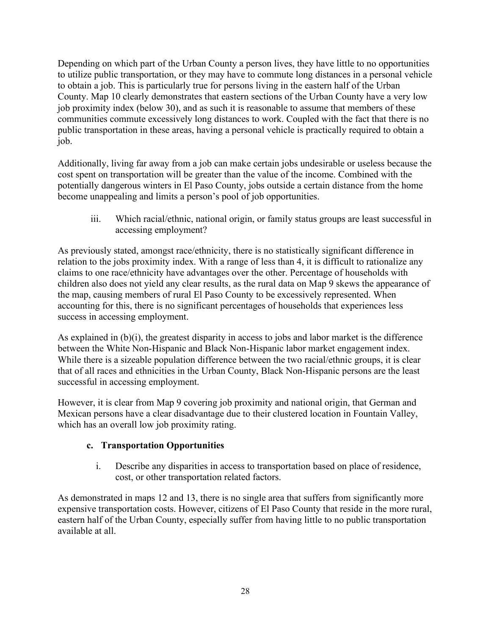Depending on which part of the Urban County a person lives, they have little to no opportunities to utilize public transportation, or they may have to commute long distances in a personal vehicle to obtain a job. This is particularly true for persons living in the eastern half of the Urban County. Map 10 clearly demonstrates that eastern sections of the Urban County have a very low job proximity index (below 30), and as such it is reasonable to assume that members of these communities commute excessively long distances to work. Coupled with the fact that there is no public transportation in these areas, having a personal vehicle is practically required to obtain a job.

Additionally, living far away from a job can make certain jobs undesirable or useless because the cost spent on transportation will be greater than the value of the income. Combined with the potentially dangerous winters in El Paso County, jobs outside a certain distance from the home become unappealing and limits a person's pool of job opportunities.

iii. Which racial/ethnic, national origin, or family status groups are least successful in accessing employment?

As previously stated, amongst race/ethnicity, there is no statistically significant difference in relation to the jobs proximity index. With a range of less than 4, it is difficult to rationalize any claims to one race/ethnicity have advantages over the other. Percentage of households with children also does not yield any clear results, as the rural data on Map 9 skews the appearance of the map, causing members of rural El Paso County to be excessively represented. When accounting for this, there is no significant percentages of households that experiences less success in accessing employment.

As explained in  $(b)(i)$ , the greatest disparity in access to jobs and labor market is the difference between the White Non-Hispanic and Black Non-Hispanic labor market engagement index. While there is a sizeable population difference between the two racial/ethnic groups, it is clear that of all races and ethnicities in the Urban County, Black Non-Hispanic persons are the least successful in accessing employment.

However, it is clear from Map 9 covering job proximity and national origin, that German and Mexican persons have a clear disadvantage due to their clustered location in Fountain Valley, which has an overall low job proximity rating.

## **c. Transportation Opportunities**

i. Describe any disparities in access to transportation based on place of residence, cost, or other transportation related factors.

As demonstrated in maps 12 and 13, there is no single area that suffers from significantly more expensive transportation costs. However, citizens of El Paso County that reside in the more rural, eastern half of the Urban County, especially suffer from having little to no public transportation available at all.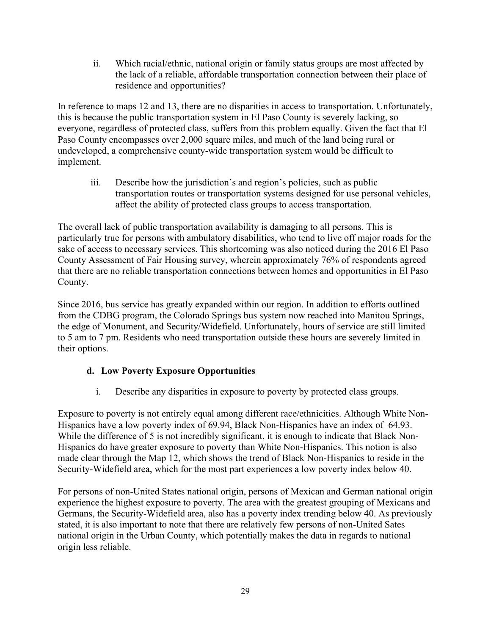ii. Which racial/ethnic, national origin or family status groups are most affected by the lack of a reliable, affordable transportation connection between their place of residence and opportunities?

In reference to maps 12 and 13, there are no disparities in access to transportation. Unfortunately, this is because the public transportation system in El Paso County is severely lacking, so everyone, regardless of protected class, suffers from this problem equally. Given the fact that El Paso County encompasses over 2,000 square miles, and much of the land being rural or undeveloped, a comprehensive county-wide transportation system would be difficult to implement.

iii. Describe how the jurisdiction's and region's policies, such as public transportation routes or transportation systems designed for use personal vehicles, affect the ability of protected class groups to access transportation.

The overall lack of public transportation availability is damaging to all persons. This is particularly true for persons with ambulatory disabilities, who tend to live off major roads for the sake of access to necessary services. This shortcoming was also noticed during the 2016 El Paso County Assessment of Fair Housing survey, wherein approximately 76% of respondents agreed that there are no reliable transportation connections between homes and opportunities in El Paso County.

Since 2016, bus service has greatly expanded within our region. In addition to efforts outlined from the CDBG program, the Colorado Springs bus system now reached into Manitou Springs, the edge of Monument, and Security/Widefield. Unfortunately, hours of service are still limited to 5 am to 7 pm. Residents who need transportation outside these hours are severely limited in their options.

# **d. Low Poverty Exposure Opportunities**

i. Describe any disparities in exposure to poverty by protected class groups.

Exposure to poverty is not entirely equal among different race/ethnicities. Although White Non-Hispanics have a low poverty index of 69.94, Black Non-Hispanics have an index of 64.93. While the difference of 5 is not incredibly significant, it is enough to indicate that Black Non-Hispanics do have greater exposure to poverty than White Non-Hispanics. This notion is also made clear through the Map 12, which shows the trend of Black Non-Hispanics to reside in the Security-Widefield area, which for the most part experiences a low poverty index below 40.

For persons of non-United States national origin, persons of Mexican and German national origin experience the highest exposure to poverty. The area with the greatest grouping of Mexicans and Germans, the Security-Widefield area, also has a poverty index trending below 40. As previously stated, it is also important to note that there are relatively few persons of non-United Sates national origin in the Urban County, which potentially makes the data in regards to national origin less reliable.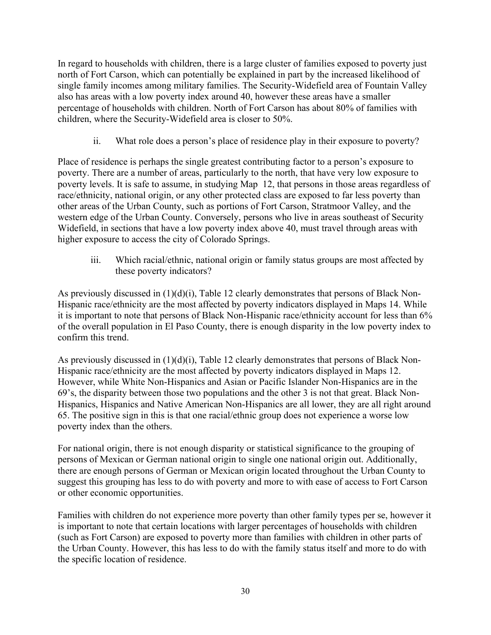In regard to households with children, there is a large cluster of families exposed to poverty just north of Fort Carson, which can potentially be explained in part by the increased likelihood of single family incomes among military families. The Security-Widefield area of Fountain Valley also has areas with a low poverty index around 40, however these areas have a smaller percentage of households with children. North of Fort Carson has about 80% of families with children, where the Security-Widefield area is closer to 50%.

ii. What role does a person's place of residence play in their exposure to poverty?

Place of residence is perhaps the single greatest contributing factor to a person's exposure to poverty. There are a number of areas, particularly to the north, that have very low exposure to poverty levels. It is safe to assume, in studying Map 12, that persons in those areas regardless of race/ethnicity, national origin, or any other protected class are exposed to far less poverty than other areas of the Urban County, such as portions of Fort Carson, Stratmoor Valley, and the western edge of the Urban County. Conversely, persons who live in areas southeast of Security Widefield, in sections that have a low poverty index above 40, must travel through areas with higher exposure to access the city of Colorado Springs.

iii. Which racial/ethnic, national origin or family status groups are most affected by these poverty indicators?

As previously discussed in  $(1)(d)(i)$ , Table 12 clearly demonstrates that persons of Black Non-Hispanic race/ethnicity are the most affected by poverty indicators displayed in Maps 14. While it is important to note that persons of Black Non-Hispanic race/ethnicity account for less than 6% of the overall population in El Paso County, there is enough disparity in the low poverty index to confirm this trend.

As previously discussed in (1)(d)(i), Table 12 clearly demonstrates that persons of Black Non-Hispanic race/ethnicity are the most affected by poverty indicators displayed in Maps 12. However, while White Non-Hispanics and Asian or Pacific Islander Non-Hispanics are in the 69's, the disparity between those two populations and the other 3 is not that great. Black Non-Hispanics, Hispanics and Native American Non-Hispanics are all lower, they are all right around 65. The positive sign in this is that one racial/ethnic group does not experience a worse low poverty index than the others.

For national origin, there is not enough disparity or statistical significance to the grouping of persons of Mexican or German national origin to single one national origin out. Additionally, there are enough persons of German or Mexican origin located throughout the Urban County to suggest this grouping has less to do with poverty and more to with ease of access to Fort Carson or other economic opportunities.

Families with children do not experience more poverty than other family types per se, however it is important to note that certain locations with larger percentages of households with children (such as Fort Carson) are exposed to poverty more than families with children in other parts of the Urban County. However, this has less to do with the family status itself and more to do with the specific location of residence.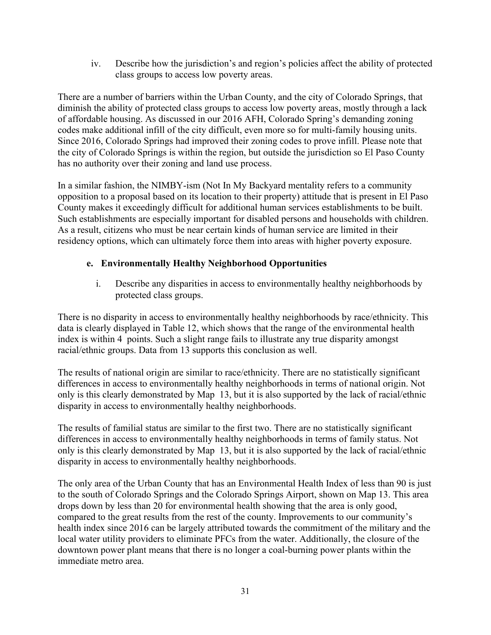iv. Describe how the jurisdiction's and region's policies affect the ability of protected class groups to access low poverty areas.

There are a number of barriers within the Urban County, and the city of Colorado Springs, that diminish the ability of protected class groups to access low poverty areas, mostly through a lack of affordable housing. As discussed in our 2016 AFH, Colorado Spring's demanding zoning codes make additional infill of the city difficult, even more so for multi-family housing units. Since 2016, Colorado Springs had improved their zoning codes to prove infill. Please note that the city of Colorado Springs is within the region, but outside the jurisdiction so El Paso County has no authority over their zoning and land use process.

In a similar fashion, the NIMBY-ism (Not In My Backyard mentality refers to a community opposition to a proposal based on its location to their property) attitude that is present in El Paso County makes it exceedingly difficult for additional human services establishments to be built. Such establishments are especially important for disabled persons and households with children. As a result, citizens who must be near certain kinds of human service are limited in their residency options, which can ultimately force them into areas with higher poverty exposure.

# **e. Environmentally Healthy Neighborhood Opportunities**

i. Describe any disparities in access to environmentally healthy neighborhoods by protected class groups.

There is no disparity in access to environmentally healthy neighborhoods by race/ethnicity. This data is clearly displayed in Table 12, which shows that the range of the environmental health index is within 4 points. Such a slight range fails to illustrate any true disparity amongst racial/ethnic groups. Data from 13 supports this conclusion as well.

The results of national origin are similar to race/ethnicity. There are no statistically significant differences in access to environmentally healthy neighborhoods in terms of national origin. Not only is this clearly demonstrated by Map 13, but it is also supported by the lack of racial/ethnic disparity in access to environmentally healthy neighborhoods.

The results of familial status are similar to the first two. There are no statistically significant differences in access to environmentally healthy neighborhoods in terms of family status. Not only is this clearly demonstrated by Map 13, but it is also supported by the lack of racial/ethnic disparity in access to environmentally healthy neighborhoods.

The only area of the Urban County that has an Environmental Health Index of less than 90 is just to the south of Colorado Springs and the Colorado Springs Airport, shown on Map 13. This area drops down by less than 20 for environmental health showing that the area is only good, compared to the great results from the rest of the county. Improvements to our community's health index since 2016 can be largely attributed towards the commitment of the military and the local water utility providers to eliminate PFCs from the water. Additionally, the closure of the downtown power plant means that there is no longer a coal-burning power plants within the immediate metro area.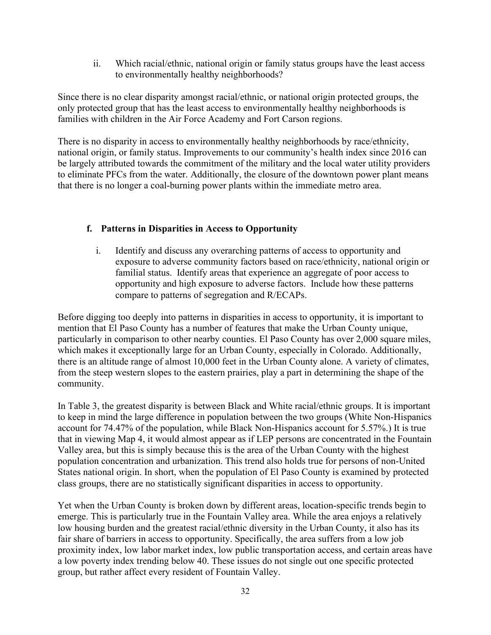ii. Which racial/ethnic, national origin or family status groups have the least access to environmentally healthy neighborhoods?

Since there is no clear disparity amongst racial/ethnic, or national origin protected groups, the only protected group that has the least access to environmentally healthy neighborhoods is families with children in the Air Force Academy and Fort Carson regions.

There is no disparity in access to environmentally healthy neighborhoods by race/ethnicity, national origin, or family status. Improvements to our community's health index since 2016 can be largely attributed towards the commitment of the military and the local water utility providers to eliminate PFCs from the water. Additionally, the closure of the downtown power plant means that there is no longer a coal-burning power plants within the immediate metro area.

## **f. Patterns in Disparities in Access to Opportunity**

i. Identify and discuss any overarching patterns of access to opportunity and exposure to adverse community factors based on race/ethnicity, national origin or familial status. Identify areas that experience an aggregate of poor access to opportunity and high exposure to adverse factors. Include how these patterns compare to patterns of segregation and R/ECAPs.

Before digging too deeply into patterns in disparities in access to opportunity, it is important to mention that El Paso County has a number of features that make the Urban County unique, particularly in comparison to other nearby counties. El Paso County has over 2,000 square miles, which makes it exceptionally large for an Urban County, especially in Colorado. Additionally, there is an altitude range of almost 10,000 feet in the Urban County alone. A variety of climates, from the steep western slopes to the eastern prairies, play a part in determining the shape of the community.

In Table 3, the greatest disparity is between Black and White racial/ethnic groups. It is important to keep in mind the large difference in population between the two groups (White Non-Hispanics account for 74.47% of the population, while Black Non-Hispanics account for 5.57%.) It is true that in viewing Map 4, it would almost appear as if LEP persons are concentrated in the Fountain Valley area, but this is simply because this is the area of the Urban County with the highest population concentration and urbanization. This trend also holds true for persons of non-United States national origin. In short, when the population of El Paso County is examined by protected class groups, there are no statistically significant disparities in access to opportunity.

Yet when the Urban County is broken down by different areas, location-specific trends begin to emerge. This is particularly true in the Fountain Valley area. While the area enjoys a relatively low housing burden and the greatest racial/ethnic diversity in the Urban County, it also has its fair share of barriers in access to opportunity. Specifically, the area suffers from a low job proximity index, low labor market index, low public transportation access, and certain areas have a low poverty index trending below 40. These issues do not single out one specific protected group, but rather affect every resident of Fountain Valley.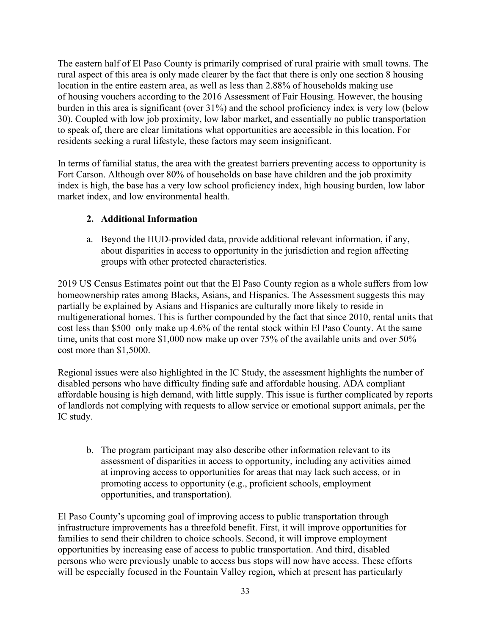The eastern half of El Paso County is primarily comprised of rural prairie with small towns. The rural aspect of this area is only made clearer by the fact that there is only one section 8 housing location in the entire eastern area, as well as less than 2.88% of households making use of housing vouchers according to the 2016 Assessment of Fair Housing. However, the housing burden in this area is significant (over 31%) and the school proficiency index is very low (below 30). Coupled with low job proximity, low labor market, and essentially no public transportation to speak of, there are clear limitations what opportunities are accessible in this location. For residents seeking a rural lifestyle, these factors may seem insignificant.

In terms of familial status, the area with the greatest barriers preventing access to opportunity is Fort Carson. Although over 80% of households on base have children and the job proximity index is high, the base has a very low school proficiency index, high housing burden, low labor market index, and low environmental health.

## **2. Additional Information**

a. Beyond the HUD-provided data, provide additional relevant information, if any, about disparities in access to opportunity in the jurisdiction and region affecting groups with other protected characteristics.

2019 US Census Estimates point out that the El Paso County region as a whole suffers from low homeownership rates among Blacks, Asians, and Hispanics. The Assessment suggests this may partially be explained by Asians and Hispanics are culturally more likely to reside in multigenerational homes. This is further compounded by the fact that since 2010, rental units that cost less than \$500 only make up 4.6% of the rental stock within El Paso County. At the same time, units that cost more \$1,000 now make up over 75% of the available units and over 50% cost more than \$1,5000.

Regional issues were also highlighted in the IC Study, the assessment highlights the number of disabled persons who have difficulty finding safe and affordable housing. ADA compliant affordable housing is high demand, with little supply. This issue is further complicated by reports of landlords not complying with requests to allow service or emotional support animals, per the IC study.

b. The program participant may also describe other information relevant to its assessment of disparities in access to opportunity, including any activities aimed at improving access to opportunities for areas that may lack such access, or in promoting access to opportunity (e.g., proficient schools, employment opportunities, and transportation).

El Paso County's upcoming goal of improving access to public transportation through infrastructure improvements has a threefold benefit. First, it will improve opportunities for families to send their children to choice schools. Second, it will improve employment opportunities by increasing ease of access to public transportation. And third, disabled persons who were previously unable to access bus stops will now have access. These efforts will be especially focused in the Fountain Valley region, which at present has particularly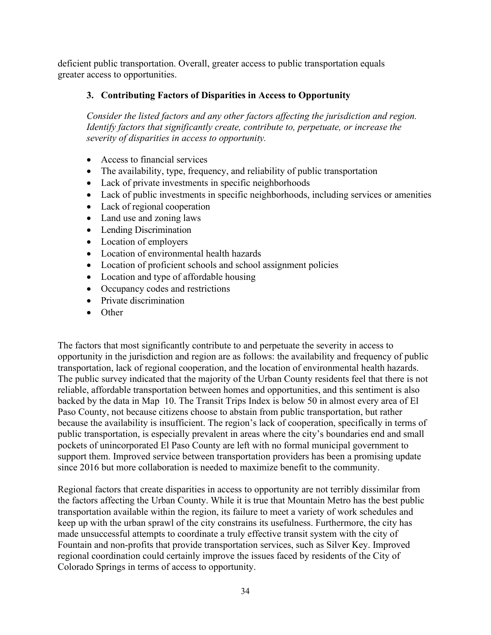deficient public transportation. Overall, greater access to public transportation equals greater access to opportunities.

# **3. Contributing Factors of Disparities in Access to Opportunity**

*Consider the listed factors and any other factors affecting the jurisdiction and region. Identify factors that significantly create, contribute to, perpetuate, or increase the severity of disparities in access to opportunity.*

- Access to financial services
- The availability, type, frequency, and reliability of public transportation
- Lack of private investments in specific neighborhoods
- Lack of public investments in specific neighborhoods, including services or amenities
- Lack of regional cooperation
- Land use and zoning laws
- Lending Discrimination
- Location of employers
- Location of environmental health hazards
- Location of proficient schools and school assignment policies
- Location and type of affordable housing
- Occupancy codes and restrictions
- Private discrimination
- Other

The factors that most significantly contribute to and perpetuate the severity in access to opportunity in the jurisdiction and region are as follows: the availability and frequency of public transportation, lack of regional cooperation, and the location of environmental health hazards. The public survey indicated that the majority of the Urban County residents feel that there is not reliable, affordable transportation between homes and opportunities, and this sentiment is also backed by the data in Map 10. The Transit Trips Index is below 50 in almost every area of El Paso County, not because citizens choose to abstain from public transportation, but rather because the availability is insufficient. The region's lack of cooperation, specifically in terms of public transportation, is especially prevalent in areas where the city's boundaries end and small pockets of unincorporated El Paso County are left with no formal municipal government to support them. Improved service between transportation providers has been a promising update since 2016 but more collaboration is needed to maximize benefit to the community.

Regional factors that create disparities in access to opportunity are not terribly dissimilar from the factors affecting the Urban County. While it is true that Mountain Metro has the best public transportation available within the region, its failure to meet a variety of work schedules and keep up with the urban sprawl of the city constrains its usefulness. Furthermore, the city has made unsuccessful attempts to coordinate a truly effective transit system with the city of Fountain and non-profits that provide transportation services, such as Silver Key. Improved regional coordination could certainly improve the issues faced by residents of the City of Colorado Springs in terms of access to opportunity.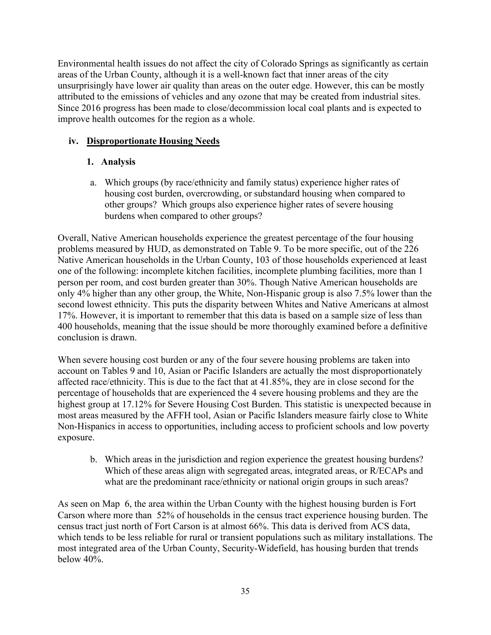Environmental health issues do not affect the city of Colorado Springs as significantly as certain areas of the Urban County, although it is a well-known fact that inner areas of the city unsurprisingly have lower air quality than areas on the outer edge. However, this can be mostly attributed to the emissions of vehicles and any ozone that may be created from industrial sites. Since 2016 progress has been made to close/decommission local coal plants and is expected to improve health outcomes for the region as a whole.

# **iv. Disproportionate Housing Needs**

# **1. Analysis**

a. Which groups (by race/ethnicity and family status) experience higher rates of housing cost burden, overcrowding, or substandard housing when compared to other groups? Which groups also experience higher rates of severe housing burdens when compared to other groups?

Overall, Native American households experience the greatest percentage of the four housing problems measured by HUD, as demonstrated on Table 9. To be more specific, out of the 226 Native American households in the Urban County, 103 of those households experienced at least one of the following: incomplete kitchen facilities, incomplete plumbing facilities, more than 1 person per room, and cost burden greater than 30%. Though Native American households are only 4% higher than any other group, the White, Non-Hispanic group is also 7.5% lower than the second lowest ethnicity. This puts the disparity between Whites and Native Americans at almost 17%. However, it is important to remember that this data is based on a sample size of less than 400 households, meaning that the issue should be more thoroughly examined before a definitive conclusion is drawn.

When severe housing cost burden or any of the four severe housing problems are taken into account on Tables 9 and 10, Asian or Pacific Islanders are actually the most disproportionately affected race/ethnicity. This is due to the fact that at 41.85%, they are in close second for the percentage of households that are experienced the 4 severe housing problems and they are the highest group at 17.12% for Severe Housing Cost Burden. This statistic is unexpected because in most areas measured by the AFFH tool, Asian or Pacific Islanders measure fairly close to White Non-Hispanics in access to opportunities, including access to proficient schools and low poverty exposure.

b. Which areas in the jurisdiction and region experience the greatest housing burdens? Which of these areas align with segregated areas, integrated areas, or R/ECAPs and what are the predominant race/ethnicity or national origin groups in such areas?

As seen on Map 6, the area within the Urban County with the highest housing burden is Fort Carson where more than 52% of households in the census tract experience housing burden. The census tract just north of Fort Carson is at almost 66%. This data is derived from ACS data, which tends to be less reliable for rural or transient populations such as military installations. The most integrated area of the Urban County, Security-Widefield, has housing burden that trends below 40%.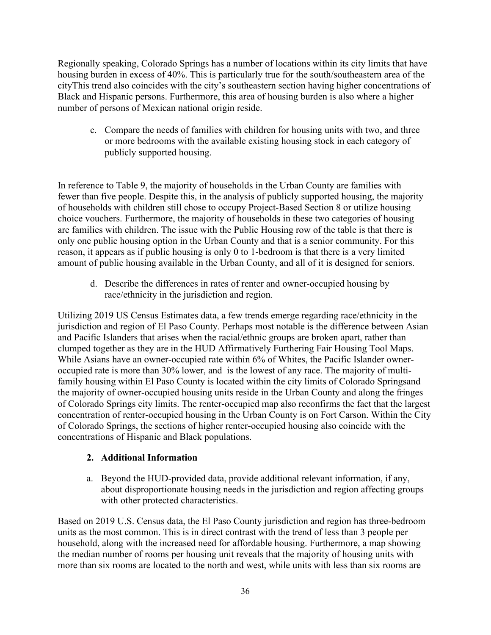Regionally speaking, Colorado Springs has a number of locations within its city limits that have housing burden in excess of 40%. This is particularly true for the south/southeastern area of the cityThis trend also coincides with the city's southeastern section having higher concentrations of Black and Hispanic persons. Furthermore, this area of housing burden is also where a higher number of persons of Mexican national origin reside.

c. Compare the needs of families with children for housing units with two, and three or more bedrooms with the available existing housing stock in each category of publicly supported housing.

In reference to Table 9, the majority of households in the Urban County are families with fewer than five people. Despite this, in the analysis of publicly supported housing, the majority of households with children still chose to occupy Project-Based Section 8 or utilize housing choice vouchers. Furthermore, the majority of households in these two categories of housing are families with children. The issue with the Public Housing row of the table is that there is only one public housing option in the Urban County and that is a senior community. For this reason, it appears as if public housing is only 0 to 1-bedroom is that there is a very limited amount of public housing available in the Urban County, and all of it is designed for seniors.

d. Describe the differences in rates of renter and owner-occupied housing by race/ethnicity in the jurisdiction and region.

Utilizing 2019 US Census Estimates data, a few trends emerge regarding race/ethnicity in the jurisdiction and region of El Paso County. Perhaps most notable is the difference between Asian and Pacific Islanders that arises when the racial/ethnic groups are broken apart, rather than clumped together as they are in the HUD Affirmatively Furthering Fair Housing Tool Maps. While Asians have an owner-occupied rate within 6% of Whites, the Pacific Islander owneroccupied rate is more than 30% lower, and is the lowest of any race. The majority of multifamily housing within El Paso County is located within the city limits of Colorado Springsand the majority of owner-occupied housing units reside in the Urban County and along the fringes of Colorado Springs city limits. The renter-occupied map also reconfirms the fact that the largest concentration of renter-occupied housing in the Urban County is on Fort Carson. Within the City of Colorado Springs, the sections of higher renter-occupied housing also coincide with the concentrations of Hispanic and Black populations.

## **2. Additional Information**

a. Beyond the HUD-provided data, provide additional relevant information, if any, about disproportionate housing needs in the jurisdiction and region affecting groups with other protected characteristics.

Based on 2019 U.S. Census data, the El Paso County jurisdiction and region has three-bedroom units as the most common. This is in direct contrast with the trend of less than 3 people per household, along with the increased need for affordable housing. Furthermore, a map showing the median number of rooms per housing unit reveals that the majority of housing units with more than six rooms are located to the north and west, while units with less than six rooms are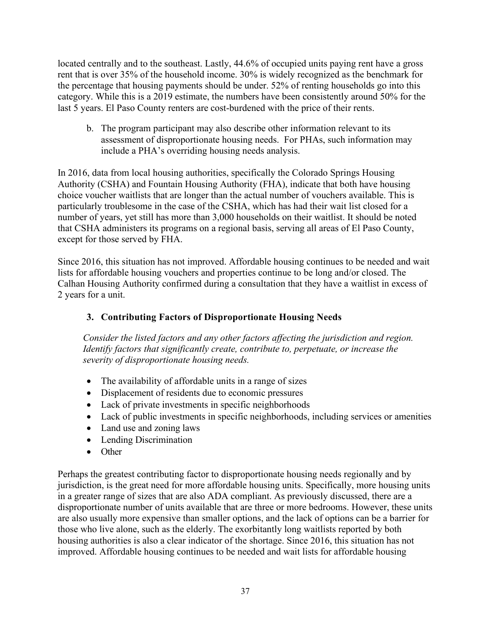located centrally and to the southeast. Lastly, 44.6% of occupied units paying rent have a gross rent that is over 35% of the household income. 30% is widely recognized as the benchmark for the percentage that housing payments should be under. 52% of renting households go into this category. While this is a 2019 estimate, the numbers have been consistently around 50% for the last 5 years. El Paso County renters are cost-burdened with the price of their rents.

b. The program participant may also describe other information relevant to its assessment of disproportionate housing needs. For PHAs, such information may include a PHA's overriding housing needs analysis.

In 2016, data from local housing authorities, specifically the Colorado Springs Housing Authority (CSHA) and Fountain Housing Authority (FHA), indicate that both have housing choice voucher waitlists that are longer than the actual number of vouchers available. This is particularly troublesome in the case of the CSHA, which has had their wait list closed for a number of years, yet still has more than 3,000 households on their waitlist. It should be noted that CSHA administers its programs on a regional basis, serving all areas of El Paso County, except for those served by FHA.

Since 2016, this situation has not improved. Affordable housing continues to be needed and wait lists for affordable housing vouchers and properties continue to be long and/or closed. The Calhan Housing Authority confirmed during a consultation that they have a waitlist in excess of 2 years for a unit.

# **3. Contributing Factors of Disproportionate Housing Needs**

*Consider the listed factors and any other factors affecting the jurisdiction and region. Identify factors that significantly create, contribute to, perpetuate, or increase the severity of disproportionate housing needs.*

- The availability of affordable units in a range of sizes
- Displacement of residents due to economic pressures
- Lack of private investments in specific neighborhoods
- Lack of public investments in specific neighborhoods, including services or amenities
- Land use and zoning laws
- Lending Discrimination
- Other

Perhaps the greatest contributing factor to disproportionate housing needs regionally and by jurisdiction, is the great need for more affordable housing units. Specifically, more housing units in a greater range of sizes that are also ADA compliant. As previously discussed, there are a disproportionate number of units available that are three or more bedrooms. However, these units are also usually more expensive than smaller options, and the lack of options can be a barrier for those who live alone, such as the elderly. The exorbitantly long waitlists reported by both housing authorities is also a clear indicator of the shortage. Since 2016, this situation has not improved. Affordable housing continues to be needed and wait lists for affordable housing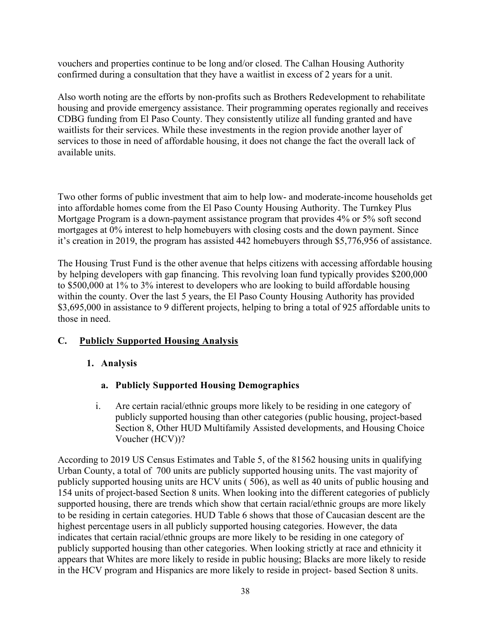vouchers and properties continue to be long and/or closed. The Calhan Housing Authority confirmed during a consultation that they have a waitlist in excess of 2 years for a unit.

Also worth noting are the efforts by non-profits such as Brothers Redevelopment to rehabilitate housing and provide emergency assistance. Their programming operates regionally and receives CDBG funding from El Paso County. They consistently utilize all funding granted and have waitlists for their services. While these investments in the region provide another layer of services to those in need of affordable housing, it does not change the fact the overall lack of available units.

Two other forms of public investment that aim to help low- and moderate-income households get into affordable homes come from the El Paso County Housing Authority. The Turnkey Plus Mortgage Program is a down-payment assistance program that provides 4% or 5% soft second mortgages at 0% interest to help homebuyers with closing costs and the down payment. Since it's creation in 2019, the program has assisted 442 homebuyers through \$5,776,956 of assistance.

The Housing Trust Fund is the other avenue that helps citizens with accessing affordable housing by helping developers with gap financing. This revolving loan fund typically provides \$200,000 to \$500,000 at 1% to 3% interest to developers who are looking to build affordable housing within the county. Over the last 5 years, the El Paso County Housing Authority has provided \$3,695,000 in assistance to 9 different projects, helping to bring a total of 925 affordable units to those in need.

## **C. Publicly Supported Housing Analysis**

## **1. Analysis**

- **a. Publicly Supported Housing Demographics**
- i. Are certain racial/ethnic groups more likely to be residing in one category of publicly supported housing than other categories (public housing, project-based Section 8, Other HUD Multifamily Assisted developments, and Housing Choice Voucher (HCV))?

According to 2019 US Census Estimates and Table 5, of the 81562 housing units in qualifying Urban County, a total of 700 units are publicly supported housing units. The vast majority of publicly supported housing units are HCV units ( 506), as well as 40 units of public housing and 154 units of project-based Section 8 units. When looking into the different categories of publicly supported housing, there are trends which show that certain racial/ethnic groups are more likely to be residing in certain categories. HUD Table 6 shows that those of Caucasian descent are the highest percentage users in all publicly supported housing categories. However, the data indicates that certain racial/ethnic groups are more likely to be residing in one category of publicly supported housing than other categories. When looking strictly at race and ethnicity it appears that Whites are more likely to reside in public housing; Blacks are more likely to reside in the HCV program and Hispanics are more likely to reside in project- based Section 8 units.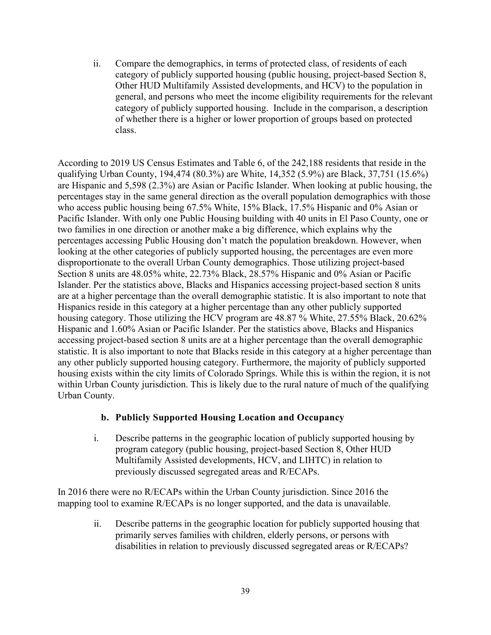ii. Compare the demographics, in terms of protected class, of residents of each category of publicly supported housing (public housing, project-based Section 8, Other HUD Multifamily Assisted developments, and HCV) to the population in general, and persons who meet the income eligibility requirements for the relevant category of publicly supported housing. Include in the comparison, a description of whether there is a higher or lower proportion of groups based on protected class.

According to 2019 US Census Estimates and Table 6, of the 242,188 residents that reside in the qualifying Urban County, 194,474 (80.3%) are White, 14,352 (5.9%) are Black, 37,751 (15.6%) are Hispanic and 5,598 (2.3%) are Asian or Pacific Islander. When looking at public housing, the percentages stay in the same general direction as the overall population demographics with those who access public housing being 67.5% White, 15% Black, 17.5% Hispanic and 0% Asian or Pacific Islander. With only one Public Housing building with 40 units in El Paso County, one or two families in one direction or another make a big difference, which explains why the percentages accessing Public Housing don't match the population breakdown. However, when looking at the other categories of publicly supported housing, the percentages are even more disproportionate to the overall Urban County demographics. Those utilizing project-based Section 8 units are 48.05% white, 22.73% Black, 28.57% Hispanic and 0% Asian or Pacific Islander. Per the statistics above, Blacks and Hispanics accessing project-based section 8 units are at a higher percentage than the overall demographic statistic. It is also important to note that Hispanics reside in this category at a higher percentage than any other publicly supported housing category. Those utilizing the HCV program are 48.87 % White, 27.55% Black, 20.62% Hispanic and 1.60% Asian or Pacific Islander. Per the statistics above, Blacks and Hispanics accessing project-based section 8 units are at a higher percentage than the overall demographic statistic. It is also important to note that Blacks reside in this category at a higher percentage than any other publicly supported housing category. Furthermore, the majority of publicly supported housing exists within the city limits of Colorado Springs. While this is within the region, it is not within Urban County jurisdiction. This is likely due to the rural nature of much of the qualifying Urban County.

## **b. Publicly Supported Housing Location and Occupancy**

i. Describe patterns in the geographic location of publicly supported housing by program category (public housing, project-based Section 8, Other HUD Multifamily Assisted developments, HCV, and LIHTC) in relation to previously discussed segregated areas and R/ECAPs.

In 2016 there were no R/ECAPs within the Urban County jurisdiction. Since 2016 the mapping tool to examine R/ECAPs is no longer supported, and the data is unavailable.

> ii. Describe patterns in the geographic location for publicly supported housing that primarily serves families with children, elderly persons, or persons with disabilities in relation to previously discussed segregated areas or R/ECAPs?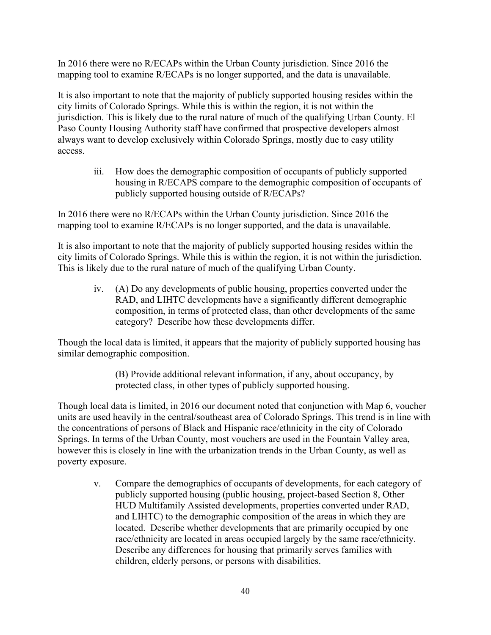In 2016 there were no R/ECAPs within the Urban County jurisdiction. Since 2016 the mapping tool to examine R/ECAPs is no longer supported, and the data is unavailable.

It is also important to note that the majority of publicly supported housing resides within the city limits of Colorado Springs. While this is within the region, it is not within the jurisdiction. This is likely due to the rural nature of much of the qualifying Urban County. El Paso County Housing Authority staff have confirmed that prospective developers almost always want to develop exclusively within Colorado Springs, mostly due to easy utility access.

iii. How does the demographic composition of occupants of publicly supported housing in R/ECAPS compare to the demographic composition of occupants of publicly supported housing outside of R/ECAPs?

In 2016 there were no R/ECAPs within the Urban County jurisdiction. Since 2016 the mapping tool to examine R/ECAPs is no longer supported, and the data is unavailable.

It is also important to note that the majority of publicly supported housing resides within the city limits of Colorado Springs. While this is within the region, it is not within the jurisdiction. This is likely due to the rural nature of much of the qualifying Urban County.

iv. (A) Do any developments of public housing, properties converted under the RAD, and LIHTC developments have a significantly different demographic composition, in terms of protected class, than other developments of the same category? Describe how these developments differ.

Though the local data is limited, it appears that the majority of publicly supported housing has similar demographic composition.

> (B) Provide additional relevant information, if any, about occupancy, by protected class, in other types of publicly supported housing.

Though local data is limited, in 2016 our document noted that conjunction with Map 6, voucher units are used heavily in the central/southeast area of Colorado Springs. This trend is in line with the concentrations of persons of Black and Hispanic race/ethnicity in the city of Colorado Springs. In terms of the Urban County, most vouchers are used in the Fountain Valley area, however this is closely in line with the urbanization trends in the Urban County, as well as poverty exposure.

v. Compare the demographics of occupants of developments, for each category of publicly supported housing (public housing, project-based Section 8, Other HUD Multifamily Assisted developments, properties converted under RAD, and LIHTC) to the demographic composition of the areas in which they are located. Describe whether developments that are primarily occupied by one race/ethnicity are located in areas occupied largely by the same race/ethnicity. Describe any differences for housing that primarily serves families with children, elderly persons, or persons with disabilities.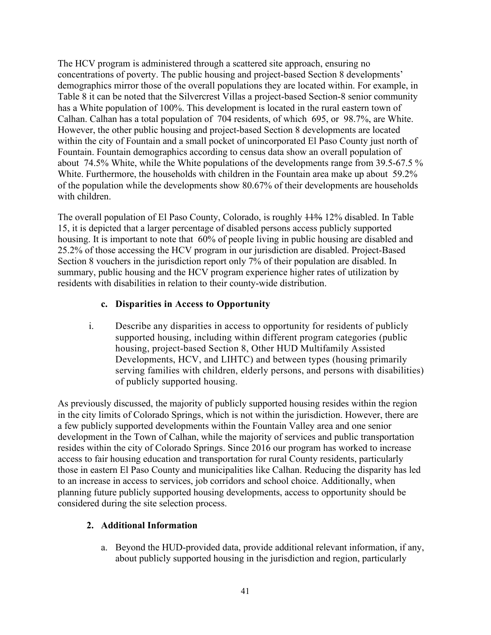The HCV program is administered through a scattered site approach, ensuring no concentrations of poverty. The public housing and project-based Section 8 developments' demographics mirror those of the overall populations they are located within. For example, in Table 8 it can be noted that the Silvercrest Villas a project-based Section-8 senior community has a White population of 100%. This development is located in the rural eastern town of Calhan. Calhan has a total population of 704 residents, of which 695, or 98.7%, are White. However, the other public housing and project-based Section 8 developments are located within the city of Fountain and a small pocket of unincorporated El Paso County just north of Fountain. Fountain demographics according to census data show an overall population of about 74.5% White, while the White populations of the developments range from 39.5-67.5 % White. Furthermore, the households with children in the Fountain area make up about 59.2% of the population while the developments show 80.67% of their developments are households with children.

The overall population of El Paso County, Colorado, is roughly  $11\%$  12% disabled. In Table 15, it is depicted that a larger percentage of disabled persons access publicly supported housing. It is important to note that 60% of people living in public housing are disabled and 25.2% of those accessing the HCV program in our jurisdiction are disabled. Project-Based Section 8 vouchers in the jurisdiction report only 7% of their population are disabled. In summary, public housing and the HCV program experience higher rates of utilization by residents with disabilities in relation to their county-wide distribution.

# **c. Disparities in Access to Opportunity**

i. Describe any disparities in access to opportunity for residents of publicly supported housing, including within different program categories (public housing, project-based Section 8, Other HUD Multifamily Assisted Developments, HCV, and LIHTC) and between types (housing primarily serving families with children, elderly persons, and persons with disabilities) of publicly supported housing.

As previously discussed, the majority of publicly supported housing resides within the region in the city limits of Colorado Springs, which is not within the jurisdiction. However, there are a few publicly supported developments within the Fountain Valley area and one senior development in the Town of Calhan, while the majority of services and public transportation resides within the city of Colorado Springs. Since 2016 our program has worked to increase access to fair housing education and transportation for rural County residents, particularly those in eastern El Paso County and municipalities like Calhan. Reducing the disparity has led to an increase in access to services, job corridors and school choice. Additionally, when planning future publicly supported housing developments, access to opportunity should be considered during the site selection process.

## **2. Additional Information**

a. Beyond the HUD-provided data, provide additional relevant information, if any, about publicly supported housing in the jurisdiction and region, particularly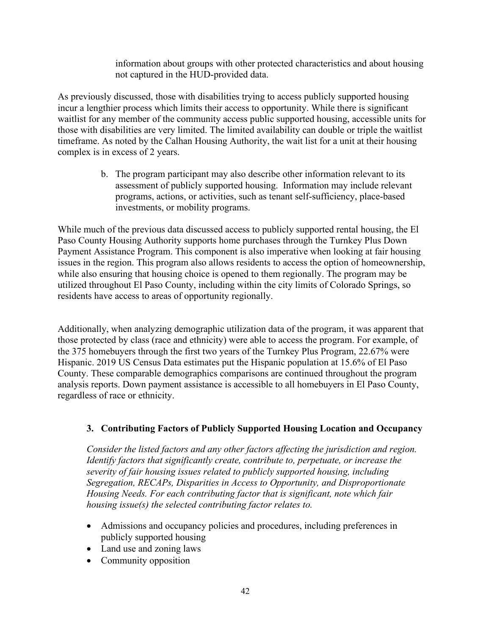information about groups with other protected characteristics and about housing not captured in the HUD-provided data.

As previously discussed, those with disabilities trying to access publicly supported housing incur a lengthier process which limits their access to opportunity. While there is significant waitlist for any member of the community access public supported housing, accessible units for those with disabilities are very limited. The limited availability can double or triple the waitlist timeframe. As noted by the Calhan Housing Authority, the wait list for a unit at their housing complex is in excess of 2 years.

> b. The program participant may also describe other information relevant to its assessment of publicly supported housing. Information may include relevant programs, actions, or activities, such as tenant self-sufficiency, place-based investments, or mobility programs.

While much of the previous data discussed access to publicly supported rental housing, the El Paso County Housing Authority supports home purchases through the Turnkey Plus Down Payment Assistance Program. This component is also imperative when looking at fair housing issues in the region. This program also allows residents to access the option of homeownership, while also ensuring that housing choice is opened to them regionally. The program may be utilized throughout El Paso County, including within the city limits of Colorado Springs, so residents have access to areas of opportunity regionally.

Additionally, when analyzing demographic utilization data of the program, it was apparent that those protected by class (race and ethnicity) were able to access the program. For example, of the 375 homebuyers through the first two years of the Turnkey Plus Program, 22.67% were Hispanic. 2019 US Census Data estimates put the Hispanic population at 15.6% of El Paso County. These comparable demographics comparisons are continued throughout the program analysis reports. Down payment assistance is accessible to all homebuyers in El Paso County, regardless of race or ethnicity.

## **3. Contributing Factors of Publicly Supported Housing Location and Occupancy**

*Consider the listed factors and any other factors affecting the jurisdiction and region. Identify factors that significantly create, contribute to, perpetuate, or increase the severity of fair housing issues related to publicly supported housing, including Segregation, RECAPs, Disparities in Access to Opportunity, and Disproportionate Housing Needs. For each contributing factor that is significant, note which fair housing issue(s) the selected contributing factor relates to.*

- Admissions and occupancy policies and procedures, including preferences in publicly supported housing
- Land use and zoning laws
- Community opposition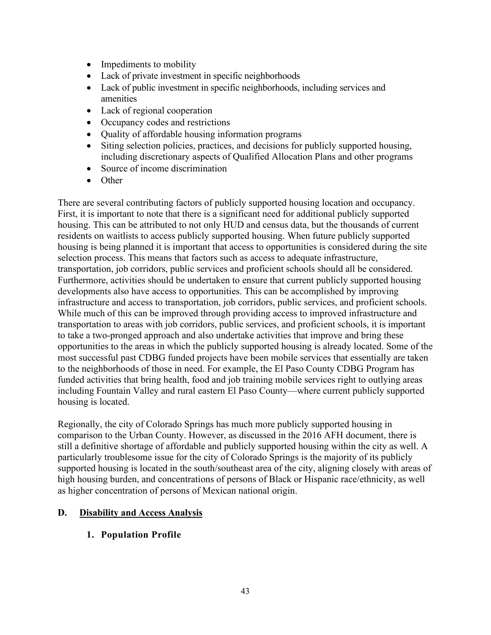- Impediments to mobility
- Lack of private investment in specific neighborhoods
- Lack of public investment in specific neighborhoods, including services and amenities
- Lack of regional cooperation
- Occupancy codes and restrictions
- Quality of affordable housing information programs
- Siting selection policies, practices, and decisions for publicly supported housing, including discretionary aspects of Qualified Allocation Plans and other programs
- Source of income discrimination
- Other

There are several contributing factors of publicly supported housing location and occupancy. First, it is important to note that there is a significant need for additional publicly supported housing. This can be attributed to not only HUD and census data, but the thousands of current residents on waitlists to access publicly supported housing. When future publicly supported housing is being planned it is important that access to opportunities is considered during the site selection process. This means that factors such as access to adequate infrastructure, transportation, job corridors, public services and proficient schools should all be considered. Furthermore, activities should be undertaken to ensure that current publicly supported housing developments also have access to opportunities. This can be accomplished by improving infrastructure and access to transportation, job corridors, public services, and proficient schools. While much of this can be improved through providing access to improved infrastructure and transportation to areas with job corridors, public services, and proficient schools, it is important to take a two-pronged approach and also undertake activities that improve and bring these opportunities to the areas in which the publicly supported housing is already located. Some of the most successful past CDBG funded projects have been mobile services that essentially are taken to the neighborhoods of those in need. For example, the El Paso County CDBG Program has funded activities that bring health, food and job training mobile services right to outlying areas including Fountain Valley and rural eastern El Paso County—where current publicly supported housing is located.

Regionally, the city of Colorado Springs has much more publicly supported housing in comparison to the Urban County. However, as discussed in the 2016 AFH document, there is still a definitive shortage of affordable and publicly supported housing within the city as well. A particularly troublesome issue for the city of Colorado Springs is the majority of its publicly supported housing is located in the south/southeast area of the city, aligning closely with areas of high housing burden, and concentrations of persons of Black or Hispanic race/ethnicity, as well as higher concentration of persons of Mexican national origin.

# **D. Disability and Access Analysis**

# **1. Population Profile**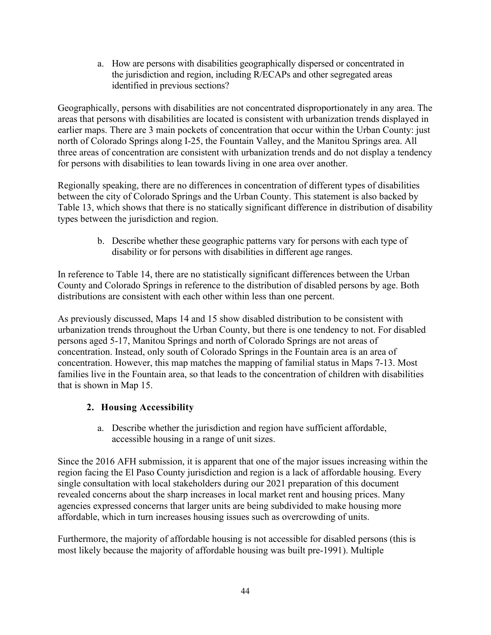a. How are persons with disabilities geographically dispersed or concentrated in the jurisdiction and region, including R/ECAPs and other segregated areas identified in previous sections?

Geographically, persons with disabilities are not concentrated disproportionately in any area. The areas that persons with disabilities are located is consistent with urbanization trends displayed in earlier maps. There are 3 main pockets of concentration that occur within the Urban County: just north of Colorado Springs along I-25, the Fountain Valley, and the Manitou Springs area. All three areas of concentration are consistent with urbanization trends and do not display a tendency for persons with disabilities to lean towards living in one area over another.

Regionally speaking, there are no differences in concentration of different types of disabilities between the city of Colorado Springs and the Urban County. This statement is also backed by Table 13, which shows that there is no statically significant difference in distribution of disability types between the jurisdiction and region.

> b. Describe whether these geographic patterns vary for persons with each type of disability or for persons with disabilities in different age ranges.

In reference to Table 14, there are no statistically significant differences between the Urban County and Colorado Springs in reference to the distribution of disabled persons by age. Both distributions are consistent with each other within less than one percent.

As previously discussed, Maps 14 and 15 show disabled distribution to be consistent with urbanization trends throughout the Urban County, but there is one tendency to not. For disabled persons aged 5-17, Manitou Springs and north of Colorado Springs are not areas of concentration. Instead, only south of Colorado Springs in the Fountain area is an area of concentration. However, this map matches the mapping of familial status in Maps 7-13. Most families live in the Fountain area, so that leads to the concentration of children with disabilities that is shown in Map 15.

# **2. Housing Accessibility**

a. Describe whether the jurisdiction and region have sufficient affordable, accessible housing in a range of unit sizes.

Since the 2016 AFH submission, it is apparent that one of the major issues increasing within the region facing the El Paso County jurisdiction and region is a lack of affordable housing. Every single consultation with local stakeholders during our 2021 preparation of this document revealed concerns about the sharp increases in local market rent and housing prices. Many agencies expressed concerns that larger units are being subdivided to make housing more affordable, which in turn increases housing issues such as overcrowding of units.

Furthermore, the majority of affordable housing is not accessible for disabled persons (this is most likely because the majority of affordable housing was built pre-1991). Multiple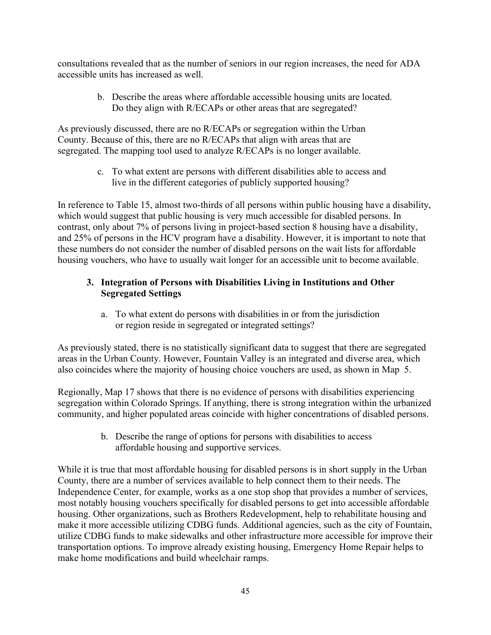consultations revealed that as the number of seniors in our region increases, the need for ADA accessible units has increased as well.

> b. Describe the areas where affordable accessible housing units are located. Do they align with R/ECAPs or other areas that are segregated?

As previously discussed, there are no R/ECAPs or segregation within the Urban County. Because of this, there are no R/ECAPs that align with areas that are segregated. The mapping tool used to analyze R/ECAPs is no longer available.

> c. To what extent are persons with different disabilities able to access and live in the different categories of publicly supported housing?

In reference to Table 15, almost two-thirds of all persons within public housing have a disability, which would suggest that public housing is very much accessible for disabled persons. In contrast, only about 7% of persons living in project-based section 8 housing have a disability, and 25% of persons in the HCV program have a disability. However, it is important to note that these numbers do not consider the number of disabled persons on the wait lists for affordable housing vouchers, who have to usually wait longer for an accessible unit to become available.

# **3. Integration of Persons with Disabilities Living in Institutions and Other Segregated Settings**

a. To what extent do persons with disabilities in or from the jurisdiction or region reside in segregated or integrated settings?

As previously stated, there is no statistically significant data to suggest that there are segregated areas in the Urban County. However, Fountain Valley is an integrated and diverse area, which also coincides where the majority of housing choice vouchers are used, as shown in Map 5.

Regionally, Map 17 shows that there is no evidence of persons with disabilities experiencing segregation within Colorado Springs. If anything, there is strong integration within the urbanized community, and higher populated areas coincide with higher concentrations of disabled persons.

> b. Describe the range of options for persons with disabilities to access affordable housing and supportive services.

While it is true that most affordable housing for disabled persons is in short supply in the Urban County, there are a number of services available to help connect them to their needs. The Independence Center, for example, works as a one stop shop that provides a number of services, most notably housing vouchers specifically for disabled persons to get into accessible affordable housing. Other organizations, such as Brothers Redevelopment, help to rehabilitate housing and make it more accessible utilizing CDBG funds. Additional agencies, such as the city of Fountain, utilize CDBG funds to make sidewalks and other infrastructure more accessible for improve their transportation options. To improve already existing housing, Emergency Home Repair helps to make home modifications and build wheelchair ramps.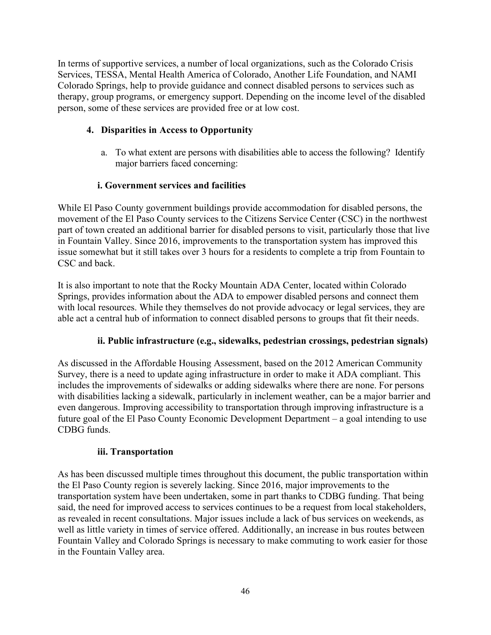In terms of supportive services, a number of local organizations, such as the Colorado Crisis Services, TESSA, Mental Health America of Colorado, Another Life Foundation, and NAMI Colorado Springs, help to provide guidance and connect disabled persons to services such as therapy, group programs, or emergency support. Depending on the income level of the disabled person, some of these services are provided free or at low cost.

# **4. Disparities in Access to Opportunity**

a. To what extent are persons with disabilities able to access the following? Identify major barriers faced concerning:

# **i. Government services and facilities**

While El Paso County government buildings provide accommodation for disabled persons, the movement of the El Paso County services to the Citizens Service Center (CSC) in the northwest part of town created an additional barrier for disabled persons to visit, particularly those that live in Fountain Valley. Since 2016, improvements to the transportation system has improved this issue somewhat but it still takes over 3 hours for a residents to complete a trip from Fountain to CSC and back.

It is also important to note that the Rocky Mountain ADA Center, located within Colorado Springs, provides information about the ADA to empower disabled persons and connect them with local resources. While they themselves do not provide advocacy or legal services, they are able act a central hub of information to connect disabled persons to groups that fit their needs.

## **ii. Public infrastructure (e.g., sidewalks, pedestrian crossings, pedestrian signals)**

As discussed in the Affordable Housing Assessment, based on the 2012 American Community Survey, there is a need to update aging infrastructure in order to make it ADA compliant. This includes the improvements of sidewalks or adding sidewalks where there are none. For persons with disabilities lacking a sidewalk, particularly in inclement weather, can be a major barrier and even dangerous. Improving accessibility to transportation through improving infrastructure is a future goal of the El Paso County Economic Development Department – a goal intending to use CDBG funds.

## **iii. Transportation**

As has been discussed multiple times throughout this document, the public transportation within the El Paso County region is severely lacking. Since 2016, major improvements to the transportation system have been undertaken, some in part thanks to CDBG funding. That being said, the need for improved access to services continues to be a request from local stakeholders, as revealed in recent consultations. Major issues include a lack of bus services on weekends, as well as little variety in times of service offered. Additionally, an increase in bus routes between Fountain Valley and Colorado Springs is necessary to make commuting to work easier for those in the Fountain Valley area.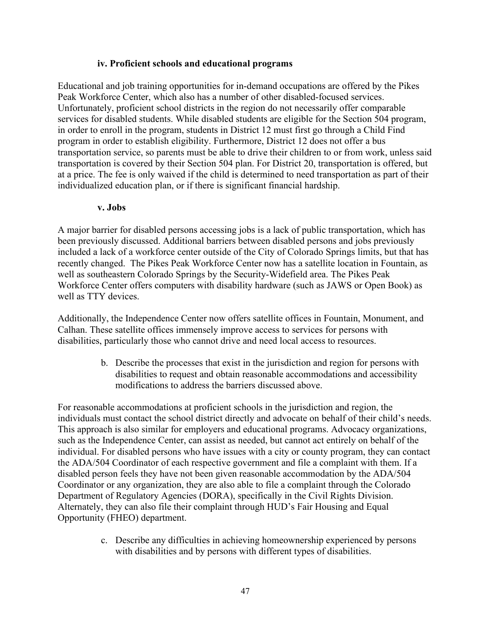#### **iv. Proficient schools and educational programs**

Educational and job training opportunities for in-demand occupations are offered by the Pikes Peak Workforce Center, which also has a number of other disabled-focused services. Unfortunately, proficient school districts in the region do not necessarily offer comparable services for disabled students. While disabled students are eligible for the Section 504 program, in order to enroll in the program, students in District 12 must first go through a Child Find program in order to establish eligibility. Furthermore, District 12 does not offer a bus transportation service, so parents must be able to drive their children to or from work, unless said transportation is covered by their Section 504 plan. For District 20, transportation is offered, but at a price. The fee is only waived if the child is determined to need transportation as part of their individualized education plan, or if there is significant financial hardship.

#### **v. Jobs**

A major barrier for disabled persons accessing jobs is a lack of public transportation, which has been previously discussed. Additional barriers between disabled persons and jobs previously included a lack of a workforce center outside of the City of Colorado Springs limits, but that has recently changed. The Pikes Peak Workforce Center now has a satellite location in Fountain, as well as southeastern Colorado Springs by the Security-Widefield area. The Pikes Peak Workforce Center offers computers with disability hardware (such as JAWS or Open Book) as well as TTY devices.

Additionally, the Independence Center now offers satellite offices in Fountain, Monument, and Calhan. These satellite offices immensely improve access to services for persons with disabilities, particularly those who cannot drive and need local access to resources.

> b. Describe the processes that exist in the jurisdiction and region for persons with disabilities to request and obtain reasonable accommodations and accessibility modifications to address the barriers discussed above.

For reasonable accommodations at proficient schools in the jurisdiction and region, the individuals must contact the school district directly and advocate on behalf of their child's needs. This approach is also similar for employers and educational programs. Advocacy organizations, such as the Independence Center, can assist as needed, but cannot act entirely on behalf of the individual. For disabled persons who have issues with a city or county program, they can contact the ADA/504 Coordinator of each respective government and file a complaint with them. If a disabled person feels they have not been given reasonable accommodation by the ADA/504 Coordinator or any organization, they are also able to file a complaint through the Colorado Department of Regulatory Agencies (DORA), specifically in the Civil Rights Division. Alternately, they can also file their complaint through HUD's Fair Housing and Equal Opportunity (FHEO) department.

> c. Describe any difficulties in achieving homeownership experienced by persons with disabilities and by persons with different types of disabilities.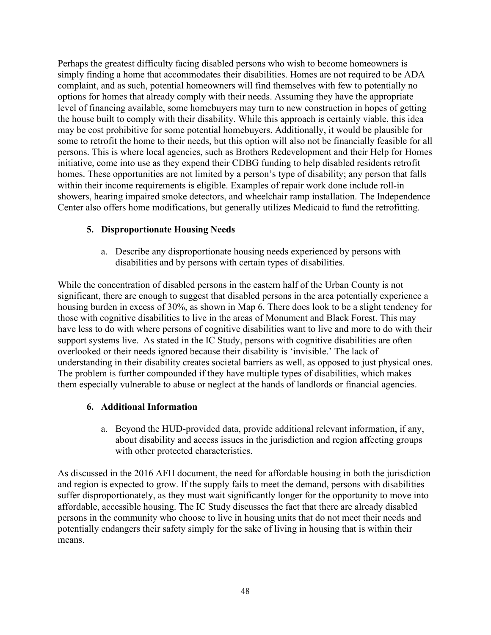Perhaps the greatest difficulty facing disabled persons who wish to become homeowners is simply finding a home that accommodates their disabilities. Homes are not required to be ADA complaint, and as such, potential homeowners will find themselves with few to potentially no options for homes that already comply with their needs. Assuming they have the appropriate level of financing available, some homebuyers may turn to new construction in hopes of getting the house built to comply with their disability. While this approach is certainly viable, this idea may be cost prohibitive for some potential homebuyers. Additionally, it would be plausible for some to retrofit the home to their needs, but this option will also not be financially feasible for all persons. This is where local agencies, such as Brothers Redevelopment and their Help for Homes initiative, come into use as they expend their CDBG funding to help disabled residents retrofit homes. These opportunities are not limited by a person's type of disability; any person that falls within their income requirements is eligible. Examples of repair work done include roll-in showers, hearing impaired smoke detectors, and wheelchair ramp installation. The Independence Center also offers home modifications, but generally utilizes Medicaid to fund the retrofitting.

## **5. Disproportionate Housing Needs**

a. Describe any disproportionate housing needs experienced by persons with disabilities and by persons with certain types of disabilities.

While the concentration of disabled persons in the eastern half of the Urban County is not significant, there are enough to suggest that disabled persons in the area potentially experience a housing burden in excess of 30%, as shown in Map 6. There does look to be a slight tendency for those with cognitive disabilities to live in the areas of Monument and Black Forest. This may have less to do with where persons of cognitive disabilities want to live and more to do with their support systems live. As stated in the IC Study, persons with cognitive disabilities are often overlooked or their needs ignored because their disability is 'invisible.' The lack of understanding in their disability creates societal barriers as well, as opposed to just physical ones. The problem is further compounded if they have multiple types of disabilities, which makes them especially vulnerable to abuse or neglect at the hands of landlords or financial agencies.

## **6. Additional Information**

a. Beyond the HUD-provided data, provide additional relevant information, if any, about disability and access issues in the jurisdiction and region affecting groups with other protected characteristics.

As discussed in the 2016 AFH document, the need for affordable housing in both the jurisdiction and region is expected to grow. If the supply fails to meet the demand, persons with disabilities suffer disproportionately, as they must wait significantly longer for the opportunity to move into affordable, accessible housing. The IC Study discusses the fact that there are already disabled persons in the community who choose to live in housing units that do not meet their needs and potentially endangers their safety simply for the sake of living in housing that is within their means.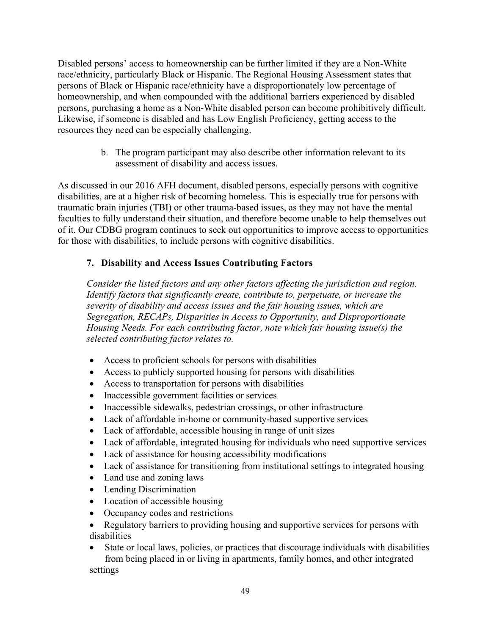Disabled persons' access to homeownership can be further limited if they are a Non-White race/ethnicity, particularly Black or Hispanic. The Regional Housing Assessment states that persons of Black or Hispanic race/ethnicity have a disproportionately low percentage of homeownership, and when compounded with the additional barriers experienced by disabled persons, purchasing a home as a Non-White disabled person can become prohibitively difficult. Likewise, if someone is disabled and has Low English Proficiency, getting access to the resources they need can be especially challenging.

> b. The program participant may also describe other information relevant to its assessment of disability and access issues.

As discussed in our 2016 AFH document, disabled persons, especially persons with cognitive disabilities, are at a higher risk of becoming homeless. This is especially true for persons with traumatic brain injuries (TBI) or other trauma-based issues, as they may not have the mental faculties to fully understand their situation, and therefore become unable to help themselves out of it. Our CDBG program continues to seek out opportunities to improve access to opportunities for those with disabilities, to include persons with cognitive disabilities.

# **7. Disability and Access Issues Contributing Factors**

*Consider the listed factors and any other factors affecting the jurisdiction and region. Identify factors that significantly create, contribute to, perpetuate, or increase the severity of disability and access issues and the fair housing issues, which are Segregation, RECAPs, Disparities in Access to Opportunity, and Disproportionate Housing Needs. For each contributing factor, note which fair housing issue(s) the selected contributing factor relates to.*

- Access to proficient schools for persons with disabilities
- Access to publicly supported housing for persons with disabilities
- Access to transportation for persons with disabilities
- Inaccessible government facilities or services
- Inaccessible sidewalks, pedestrian crossings, or other infrastructure
- Lack of affordable in-home or community-based supportive services
- Lack of affordable, accessible housing in range of unit sizes
- Lack of affordable, integrated housing for individuals who need supportive services
- Lack of assistance for housing accessibility modifications
- Lack of assistance for transitioning from institutional settings to integrated housing
- Land use and zoning laws
- Lending Discrimination
- Location of accessible housing
- Occupancy codes and restrictions
- Regulatory barriers to providing housing and supportive services for persons with disabilities
- State or local laws, policies, or practices that discourage individuals with disabilities from being placed in or living in apartments, family homes, and other integrated

settings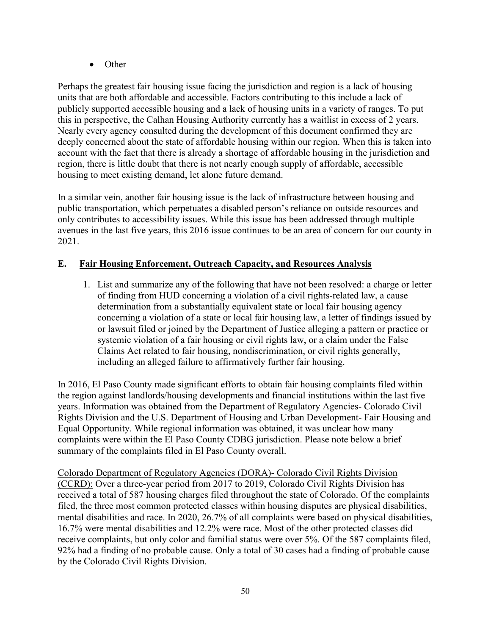• Other

Perhaps the greatest fair housing issue facing the jurisdiction and region is a lack of housing units that are both affordable and accessible. Factors contributing to this include a lack of publicly supported accessible housing and a lack of housing units in a variety of ranges. To put this in perspective, the Calhan Housing Authority currently has a waitlist in excess of 2 years. Nearly every agency consulted during the development of this document confirmed they are deeply concerned about the state of affordable housing within our region. When this is taken into account with the fact that there is already a shortage of affordable housing in the jurisdiction and region, there is little doubt that there is not nearly enough supply of affordable, accessible housing to meet existing demand, let alone future demand.

In a similar vein, another fair housing issue is the lack of infrastructure between housing and public transportation, which perpetuates a disabled person's reliance on outside resources and only contributes to accessibility issues. While this issue has been addressed through multiple avenues in the last five years, this 2016 issue continues to be an area of concern for our county in 2021.

# **E. Fair Housing Enforcement, Outreach Capacity, and Resources Analysis**

1. List and summarize any of the following that have not been resolved: a charge or letter of finding from HUD concerning a violation of a civil rights-related law, a cause determination from a substantially equivalent state or local fair housing agency concerning a violation of a state or local fair housing law, a letter of findings issued by or lawsuit filed or joined by the Department of Justice alleging a pattern or practice or systemic violation of a fair housing or civil rights law, or a claim under the False Claims Act related to fair housing, nondiscrimination, or civil rights generally, including an alleged failure to affirmatively further fair housing.

In 2016, El Paso County made significant efforts to obtain fair housing complaints filed within the region against landlords/housing developments and financial institutions within the last five years. Information was obtained from the Department of Regulatory Agencies- Colorado Civil Rights Division and the U.S. Department of Housing and Urban Development- Fair Housing and Equal Opportunity. While regional information was obtained, it was unclear how many complaints were within the El Paso County CDBG jurisdiction. Please note below a brief summary of the complaints filed in El Paso County overall.

Colorado Department of Regulatory Agencies (DORA)- Colorado Civil Rights Division (CCRD): Over a three-year period from 2017 to 2019, Colorado Civil Rights Division has received a total of 587 housing charges filed throughout the state of Colorado. Of the complaints filed, the three most common protected classes within housing disputes are physical disabilities, mental disabilities and race. In 2020, 26.7% of all complaints were based on physical disabilities, 16.7% were mental disabilities and 12.2% were race. Most of the other protected classes did receive complaints, but only color and familial status were over 5%. Of the 587 complaints filed, 92% had a finding of no probable cause. Only a total of 30 cases had a finding of probable cause by the Colorado Civil Rights Division.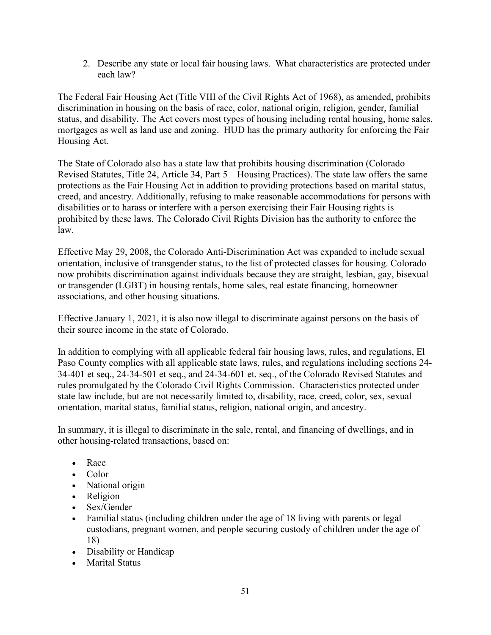2. Describe any state or local fair housing laws. What characteristics are protected under each law?

The Federal Fair Housing Act (Title VIII of the Civil Rights Act of 1968), as amended, prohibits discrimination in housing on the basis of race, color, national origin, religion, gender, familial status, and disability. The Act covers most types of housing including rental housing, home sales, mortgages as well as land use and zoning. HUD has the primary authority for enforcing the Fair Housing Act.

The State of Colorado also has a state law that prohibits housing discrimination (Colorado Revised Statutes, Title 24, Article 34, Part 5 – Housing Practices). The state law offers the same protections as the Fair Housing Act in addition to providing protections based on marital status, creed, and ancestry. Additionally, refusing to make reasonable accommodations for persons with disabilities or to harass or interfere with a person exercising their Fair Housing rights is prohibited by these laws. The Colorado Civil Rights Division has the authority to enforce the law.

Effective May 29, 2008, the Colorado Anti-Discrimination Act was expanded to include sexual orientation, inclusive of transgender status, to the list of protected classes for housing. Colorado now prohibits discrimination against individuals because they are straight, lesbian, gay, bisexual or transgender (LGBT) in housing rentals, home sales, real estate financing, homeowner associations, and other housing situations.

Effective January 1, 2021, it is also now illegal to discriminate against persons on the basis of their source income in the state of Colorado.

In addition to complying with all applicable federal fair housing laws, rules, and regulations, El Paso County complies with all applicable state laws, rules, and regulations including sections 24- 34-401 et seq., 24-34-501 et seq., and 24-34-601 et. seq., of the Colorado Revised Statutes and rules promulgated by the Colorado Civil Rights Commission. Characteristics protected under state law include, but are not necessarily limited to, disability, race, creed, color, sex, sexual orientation, marital status, familial status, religion, national origin, and ancestry.

In summary, it is illegal to discriminate in the sale, rental, and financing of dwellings, and in other housing-related transactions, based on:

- Race
- Color
- National origin
- Religion
- Sex/Gender
- Familial status (including children under the age of 18 living with parents or legal custodians, pregnant women, and people securing custody of children under the age of 18)
- Disability or Handicap
- Marital Status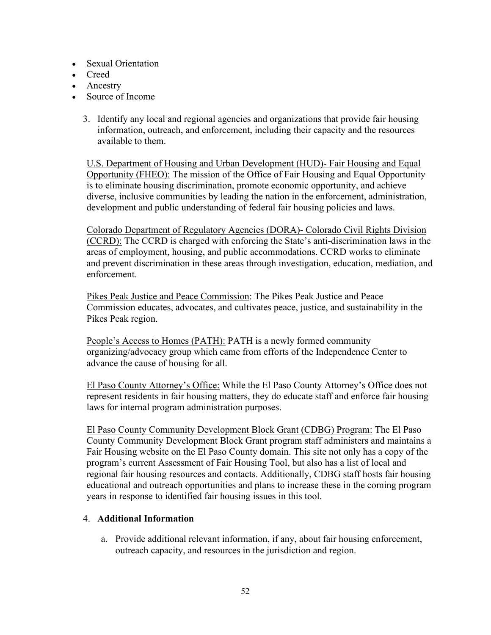- Sexual Orientation
- Creed
- Ancestry
- Source of Income
	- 3. Identify any local and regional agencies and organizations that provide fair housing information, outreach, and enforcement, including their capacity and the resources available to them.

U.S. Department of Housing and Urban Development (HUD)- Fair Housing and Equal Opportunity (FHEO): The mission of the Office of Fair Housing and Equal Opportunity is to eliminate housing discrimination, promote economic opportunity, and achieve diverse, inclusive communities by leading the nation in the enforcement, administration, development and public understanding of federal fair housing policies and laws.

Colorado Department of Regulatory Agencies (DORA)- Colorado Civil Rights Division (CCRD): The CCRD is charged with enforcing the State's anti-discrimination laws in the areas of employment, housing, and public accommodations. CCRD works to eliminate and prevent discrimination in these areas through investigation, education, mediation, and enforcement.

Pikes Peak Justice and Peace Commission: The Pikes Peak Justice and Peace Commission educates, advocates, and cultivates peace, justice, and sustainability in the Pikes Peak region.

People's Access to Homes (PATH): PATH is a newly formed community organizing/advocacy group which came from efforts of the Independence Center to advance the cause of housing for all.

El Paso County Attorney's Office: While the El Paso County Attorney's Office does not represent residents in fair housing matters, they do educate staff and enforce fair housing laws for internal program administration purposes.

El Paso County Community Development Block Grant (CDBG) Program: The El Paso County Community Development Block Grant program staff administers and maintains a Fair Housing website on the El Paso County domain. This site not only has a copy of the program's current Assessment of Fair Housing Tool, but also has a list of local and regional fair housing resources and contacts. Additionally, CDBG staff hosts fair housing educational and outreach opportunities and plans to increase these in the coming program years in response to identified fair housing issues in this tool.

## 4. **Additional Information**

a. Provide additional relevant information, if any, about fair housing enforcement, outreach capacity, and resources in the jurisdiction and region.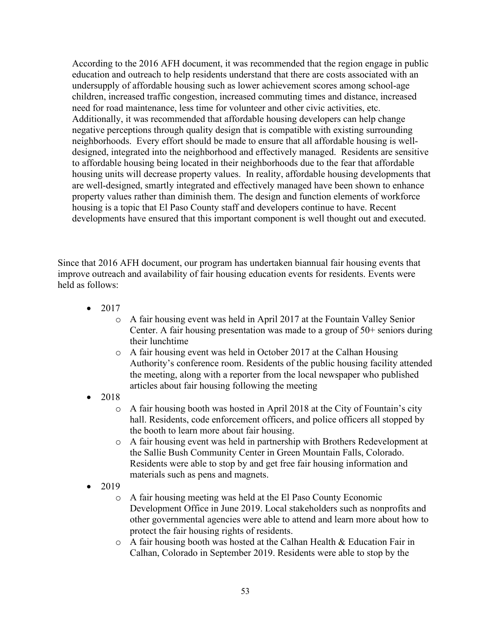According to the 2016 AFH document, it was recommended that the region engage in public education and outreach to help residents understand that there are costs associated with an undersupply of affordable housing such as lower achievement scores among school-age children, increased traffic congestion, increased commuting times and distance, increased need for road maintenance, less time for volunteer and other civic activities, etc. Additionally, it was recommended that affordable housing developers can help change negative perceptions through quality design that is compatible with existing surrounding neighborhoods. Every effort should be made to ensure that all affordable housing is welldesigned, integrated into the neighborhood and effectively managed. Residents are sensitive to affordable housing being located in their neighborhoods due to the fear that affordable housing units will decrease property values. In reality, affordable housing developments that are well-designed, smartly integrated and effectively managed have been shown to enhance property values rather than diminish them. The design and function elements of workforce housing is a topic that El Paso County staff and developers continue to have. Recent developments have ensured that this important component is well thought out and executed.

Since that 2016 AFH document, our program has undertaken biannual fair housing events that improve outreach and availability of fair housing education events for residents. Events were held as follows:

- 2017
	- o A fair housing event was held in April 2017 at the Fountain Valley Senior Center. A fair housing presentation was made to a group of 50+ seniors during their lunchtime
	- o A fair housing event was held in October 2017 at the Calhan Housing Authority's conference room. Residents of the public housing facility attended the meeting, along with a reporter from the local newspaper who published articles about fair housing following the meeting
- 2018
	- o A fair housing booth was hosted in April 2018 at the City of Fountain's city hall. Residents, code enforcement officers, and police officers all stopped by the booth to learn more about fair housing.
	- o A fair housing event was held in partnership with Brothers Redevelopment at the Sallie Bush Community Center in Green Mountain Falls, Colorado. Residents were able to stop by and get free fair housing information and materials such as pens and magnets.
- 2019
	- o A fair housing meeting was held at the El Paso County Economic Development Office in June 2019. Local stakeholders such as nonprofits and other governmental agencies were able to attend and learn more about how to protect the fair housing rights of residents.
	- o A fair housing booth was hosted at the Calhan Health & Education Fair in Calhan, Colorado in September 2019. Residents were able to stop by the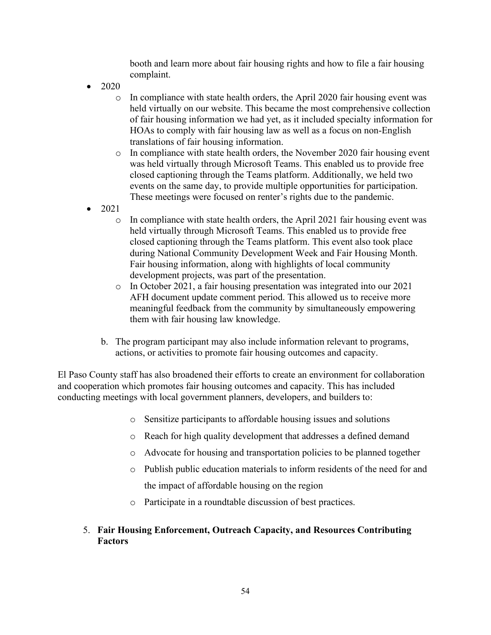booth and learn more about fair housing rights and how to file a fair housing complaint.

- 2020
	- $\circ$  In compliance with state health orders, the April 2020 fair housing event was held virtually on our website. This became the most comprehensive collection of fair housing information we had yet, as it included specialty information for HOAs to comply with fair housing law as well as a focus on non-English translations of fair housing information.
	- o In compliance with state health orders, the November 2020 fair housing event was held virtually through Microsoft Teams. This enabled us to provide free closed captioning through the Teams platform. Additionally, we held two events on the same day, to provide multiple opportunities for participation. These meetings were focused on renter's rights due to the pandemic.
- 2021
	- $\circ$  In compliance with state health orders, the April 2021 fair housing event was held virtually through Microsoft Teams. This enabled us to provide free closed captioning through the Teams platform. This event also took place during National Community Development Week and Fair Housing Month. Fair housing information, along with highlights of local community development projects, was part of the presentation.
	- o In October 2021, a fair housing presentation was integrated into our 2021 AFH document update comment period. This allowed us to receive more meaningful feedback from the community by simultaneously empowering them with fair housing law knowledge.
	- b. The program participant may also include information relevant to programs, actions, or activities to promote fair housing outcomes and capacity.

El Paso County staff has also broadened their efforts to create an environment for collaboration and cooperation which promotes fair housing outcomes and capacity. This has included conducting meetings with local government planners, developers, and builders to:

- o Sensitize participants to affordable housing issues and solutions
- o Reach for high quality development that addresses a defined demand
- o Advocate for housing and transportation policies to be planned together
- o Publish public education materials to inform residents of the need for and the impact of affordable housing on the region
- o Participate in a roundtable discussion of best practices.

#### 5. **Fair Housing Enforcement, Outreach Capacity, and Resources Contributing Factors**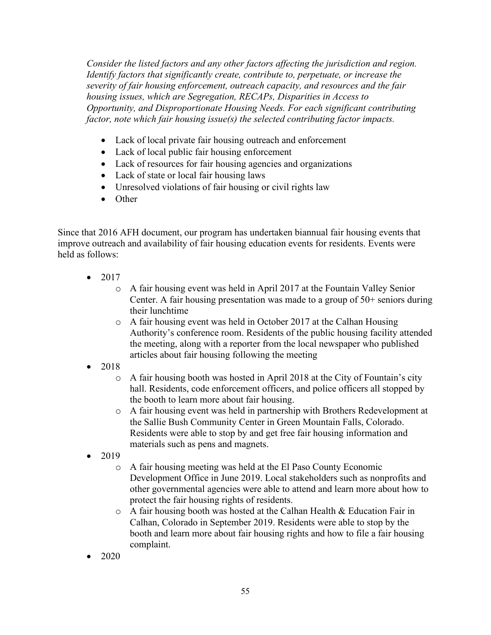*Consider the listed factors and any other factors affecting the jurisdiction and region. Identify factors that significantly create, contribute to, perpetuate, or increase the severity of fair housing enforcement, outreach capacity, and resources and the fair housing issues, which are Segregation, RECAPs, Disparities in Access to Opportunity, and Disproportionate Housing Needs. For each significant contributing factor, note which fair housing issue(s) the selected contributing factor impacts.*

- Lack of local private fair housing outreach and enforcement
- Lack of local public fair housing enforcement
- Lack of resources for fair housing agencies and organizations
- Lack of state or local fair housing laws
- Unresolved violations of fair housing or civil rights law
- Other

Since that 2016 AFH document, our program has undertaken biannual fair housing events that improve outreach and availability of fair housing education events for residents. Events were held as follows:

- 2017
	- o A fair housing event was held in April 2017 at the Fountain Valley Senior Center. A fair housing presentation was made to a group of 50+ seniors during their lunchtime
	- o A fair housing event was held in October 2017 at the Calhan Housing Authority's conference room. Residents of the public housing facility attended the meeting, along with a reporter from the local newspaper who published articles about fair housing following the meeting
- 2018
	- o A fair housing booth was hosted in April 2018 at the City of Fountain's city hall. Residents, code enforcement officers, and police officers all stopped by the booth to learn more about fair housing.
	- o A fair housing event was held in partnership with Brothers Redevelopment at the Sallie Bush Community Center in Green Mountain Falls, Colorado. Residents were able to stop by and get free fair housing information and materials such as pens and magnets.
- 2019
	- o A fair housing meeting was held at the El Paso County Economic Development Office in June 2019. Local stakeholders such as nonprofits and other governmental agencies were able to attend and learn more about how to protect the fair housing rights of residents.
	- o A fair housing booth was hosted at the Calhan Health & Education Fair in Calhan, Colorado in September 2019. Residents were able to stop by the booth and learn more about fair housing rights and how to file a fair housing complaint.
- 2020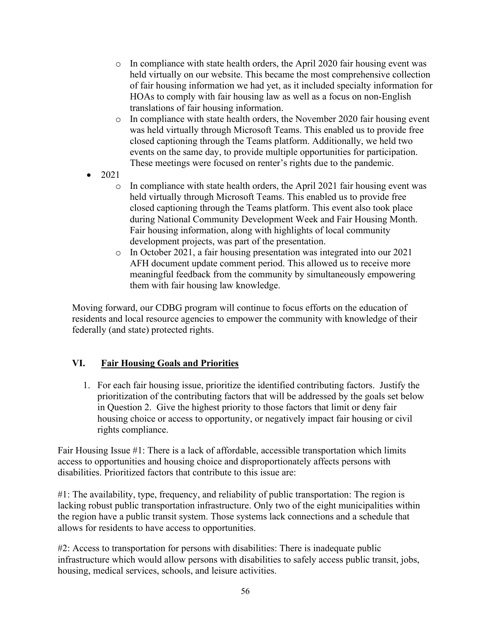- $\circ$  In compliance with state health orders, the April 2020 fair housing event was held virtually on our website. This became the most comprehensive collection of fair housing information we had yet, as it included specialty information for HOAs to comply with fair housing law as well as a focus on non-English translations of fair housing information.
- o In compliance with state health orders, the November 2020 fair housing event was held virtually through Microsoft Teams. This enabled us to provide free closed captioning through the Teams platform. Additionally, we held two events on the same day, to provide multiple opportunities for participation. These meetings were focused on renter's rights due to the pandemic.
- 2021
	- $\circ$  In compliance with state health orders, the April 2021 fair housing event was held virtually through Microsoft Teams. This enabled us to provide free closed captioning through the Teams platform. This event also took place during National Community Development Week and Fair Housing Month. Fair housing information, along with highlights of local community development projects, was part of the presentation.
	- o In October 2021, a fair housing presentation was integrated into our 2021 AFH document update comment period. This allowed us to receive more meaningful feedback from the community by simultaneously empowering them with fair housing law knowledge.

Moving forward, our CDBG program will continue to focus efforts on the education of residents and local resource agencies to empower the community with knowledge of their federally (and state) protected rights.

## **VI. Fair Housing Goals and Priorities**

1. For each fair housing issue, prioritize the identified contributing factors. Justify the prioritization of the contributing factors that will be addressed by the goals set below in Question 2. Give the highest priority to those factors that limit or deny fair housing choice or access to opportunity, or negatively impact fair housing or civil rights compliance.

Fair Housing Issue #1: There is a lack of affordable, accessible transportation which limits access to opportunities and housing choice and disproportionately affects persons with disabilities. Prioritized factors that contribute to this issue are:

#1: The availability, type, frequency, and reliability of public transportation: The region is lacking robust public transportation infrastructure. Only two of the eight municipalities within the region have a public transit system. Those systems lack connections and a schedule that allows for residents to have access to opportunities.

#2: Access to transportation for persons with disabilities: There is inadequate public infrastructure which would allow persons with disabilities to safely access public transit, jobs, housing, medical services, schools, and leisure activities.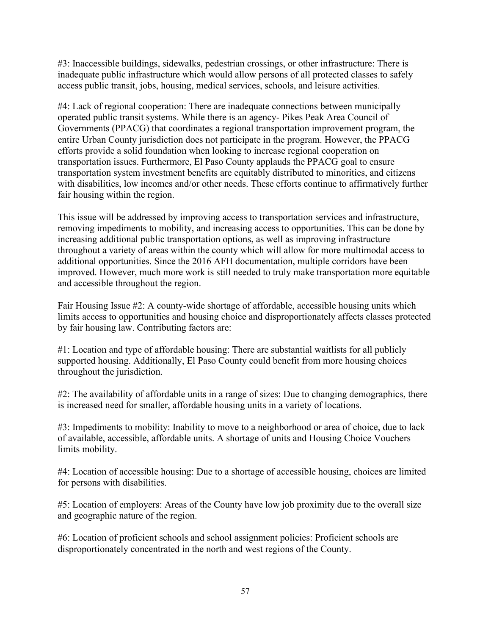#3: Inaccessible buildings, sidewalks, pedestrian crossings, or other infrastructure: There is inadequate public infrastructure which would allow persons of all protected classes to safely access public transit, jobs, housing, medical services, schools, and leisure activities.

#4: Lack of regional cooperation: There are inadequate connections between municipally operated public transit systems. While there is an agency- Pikes Peak Area Council of Governments (PPACG) that coordinates a regional transportation improvement program, the entire Urban County jurisdiction does not participate in the program. However, the PPACG efforts provide a solid foundation when looking to increase regional cooperation on transportation issues. Furthermore, El Paso County applauds the PPACG goal to ensure transportation system investment benefits are equitably distributed to minorities, and citizens with disabilities, low incomes and/or other needs. These efforts continue to affirmatively further fair housing within the region.

This issue will be addressed by improving access to transportation services and infrastructure, removing impediments to mobility, and increasing access to opportunities. This can be done by increasing additional public transportation options, as well as improving infrastructure throughout a variety of areas within the county which will allow for more multimodal access to additional opportunities. Since the 2016 AFH documentation, multiple corridors have been improved. However, much more work is still needed to truly make transportation more equitable and accessible throughout the region.

Fair Housing Issue #2: A county-wide shortage of affordable, accessible housing units which limits access to opportunities and housing choice and disproportionately affects classes protected by fair housing law. Contributing factors are:

#1: Location and type of affordable housing: There are substantial waitlists for all publicly supported housing. Additionally, El Paso County could benefit from more housing choices throughout the jurisdiction.

#2: The availability of affordable units in a range of sizes: Due to changing demographics, there is increased need for smaller, affordable housing units in a variety of locations.

#3: Impediments to mobility: Inability to move to a neighborhood or area of choice, due to lack of available, accessible, affordable units. A shortage of units and Housing Choice Vouchers limits mobility.

#4: Location of accessible housing: Due to a shortage of accessible housing, choices are limited for persons with disabilities.

#5: Location of employers: Areas of the County have low job proximity due to the overall size and geographic nature of the region.

#6: Location of proficient schools and school assignment policies: Proficient schools are disproportionately concentrated in the north and west regions of the County.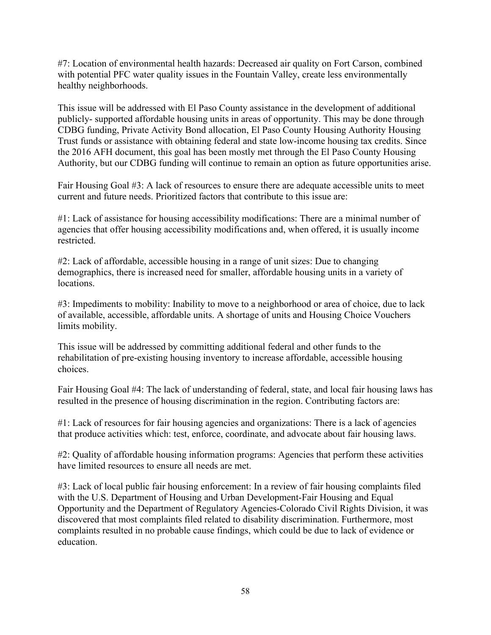#7: Location of environmental health hazards: Decreased air quality on Fort Carson, combined with potential PFC water quality issues in the Fountain Valley, create less environmentally healthy neighborhoods.

This issue will be addressed with El Paso County assistance in the development of additional publicly- supported affordable housing units in areas of opportunity. This may be done through CDBG funding, Private Activity Bond allocation, El Paso County Housing Authority Housing Trust funds or assistance with obtaining federal and state low-income housing tax credits. Since the 2016 AFH document, this goal has been mostly met through the El Paso County Housing Authority, but our CDBG funding will continue to remain an option as future opportunities arise.

Fair Housing Goal #3: A lack of resources to ensure there are adequate accessible units to meet current and future needs. Prioritized factors that contribute to this issue are:

#1: Lack of assistance for housing accessibility modifications: There are a minimal number of agencies that offer housing accessibility modifications and, when offered, it is usually income restricted.

#2: Lack of affordable, accessible housing in a range of unit sizes: Due to changing demographics, there is increased need for smaller, affordable housing units in a variety of locations.

#3: Impediments to mobility: Inability to move to a neighborhood or area of choice, due to lack of available, accessible, affordable units. A shortage of units and Housing Choice Vouchers limits mobility.

This issue will be addressed by committing additional federal and other funds to the rehabilitation of pre-existing housing inventory to increase affordable, accessible housing choices.

Fair Housing Goal #4: The lack of understanding of federal, state, and local fair housing laws has resulted in the presence of housing discrimination in the region. Contributing factors are:

#1: Lack of resources for fair housing agencies and organizations: There is a lack of agencies that produce activities which: test, enforce, coordinate, and advocate about fair housing laws.

#2: Quality of affordable housing information programs: Agencies that perform these activities have limited resources to ensure all needs are met.

#3: Lack of local public fair housing enforcement: In a review of fair housing complaints filed with the U.S. Department of Housing and Urban Development-Fair Housing and Equal Opportunity and the Department of Regulatory Agencies-Colorado Civil Rights Division, it was discovered that most complaints filed related to disability discrimination. Furthermore, most complaints resulted in no probable cause findings, which could be due to lack of evidence or education.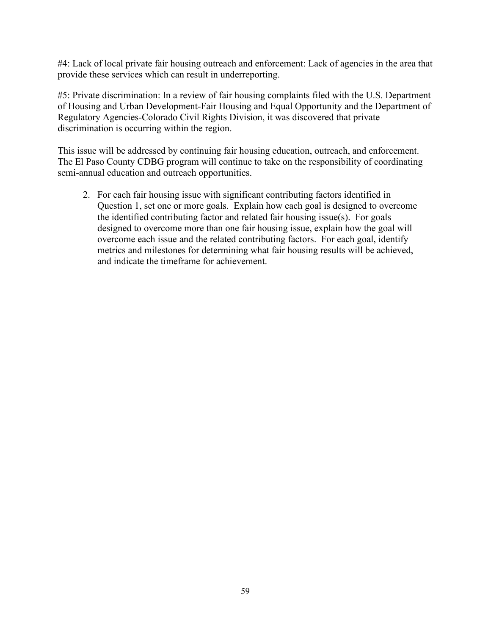#4: Lack of local private fair housing outreach and enforcement: Lack of agencies in the area that provide these services which can result in underreporting.

#5: Private discrimination: In a review of fair housing complaints filed with the U.S. Department of Housing and Urban Development-Fair Housing and Equal Opportunity and the Department of Regulatory Agencies-Colorado Civil Rights Division, it was discovered that private discrimination is occurring within the region.

This issue will be addressed by continuing fair housing education, outreach, and enforcement. The El Paso County CDBG program will continue to take on the responsibility of coordinating semi-annual education and outreach opportunities.

2. For each fair housing issue with significant contributing factors identified in Question 1, set one or more goals. Explain how each goal is designed to overcome the identified contributing factor and related fair housing issue(s). For goals designed to overcome more than one fair housing issue, explain how the goal will overcome each issue and the related contributing factors. For each goal, identify metrics and milestones for determining what fair housing results will be achieved, and indicate the timeframe for achievement.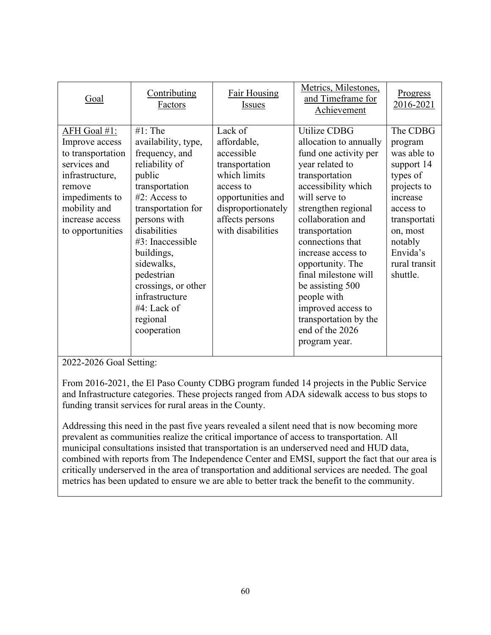| Goal                                                                                                                                                                      | Contributing<br>Factors                                                                                                                                                                                                                                                                                                   | Fair Housing<br><b>Issues</b>                                                                                                                                          | Metrics, Milestones,<br>and Timeframe for<br>Achievement                                                                                                                                                                                                                                                                                                                                                                      | <u>Progress</u><br>2016-2021                                                                                                                                                         |
|---------------------------------------------------------------------------------------------------------------------------------------------------------------------------|---------------------------------------------------------------------------------------------------------------------------------------------------------------------------------------------------------------------------------------------------------------------------------------------------------------------------|------------------------------------------------------------------------------------------------------------------------------------------------------------------------|-------------------------------------------------------------------------------------------------------------------------------------------------------------------------------------------------------------------------------------------------------------------------------------------------------------------------------------------------------------------------------------------------------------------------------|--------------------------------------------------------------------------------------------------------------------------------------------------------------------------------------|
| AFH Goal #1:<br>Improve access<br>to transportation<br>services and<br>infrastructure,<br>remove<br>impediments to<br>mobility and<br>increase access<br>to opportunities | $#1$ : The<br>availability, type,<br>frequency, and<br>reliability of<br>public<br>transportation<br>#2: Access to<br>transportation for<br>persons with<br>disabilities<br>#3: Inaccessible<br>buildings,<br>sidewalks,<br>pedestrian<br>crossings, or other<br>infrastructure<br>#4: Lack of<br>regional<br>cooperation | Lack of<br>affordable,<br>accessible<br>transportation<br>which limits<br>access to<br>opportunities and<br>disproportionately<br>affects persons<br>with disabilities | <b>Utilize CDBG</b><br>allocation to annually<br>fund one activity per<br>year related to<br>transportation<br>accessibility which<br>will serve to<br>strengthen regional<br>collaboration and<br>transportation<br>connections that<br>increase access to<br>opportunity. The<br>final milestone will<br>be assisting 500<br>people with<br>improved access to<br>transportation by the<br>end of the 2026<br>program year. | The CDBG<br>program<br>was able to<br>support 14<br>types of<br>projects to<br>increase<br>access to<br>transportati<br>on, most<br>notably<br>Envida's<br>rural transit<br>shuttle. |

2022-2026 Goal Setting:

From 2016-2021, the El Paso County CDBG program funded 14 projects in the Public Service and Infrastructure categories. These projects ranged from ADA sidewalk access to bus stops to funding transit services for rural areas in the County.

Addressing this need in the past five years revealed a silent need that is now becoming more prevalent as communities realize the critical importance of access to transportation. All municipal consultations insisted that transportation is an underserved need and HUD data, combined with reports from The Independence Center and EMSI, support the fact that our area is critically underserved in the area of transportation and additional services are needed. The goal metrics has been updated to ensure we are able to better track the benefit to the community.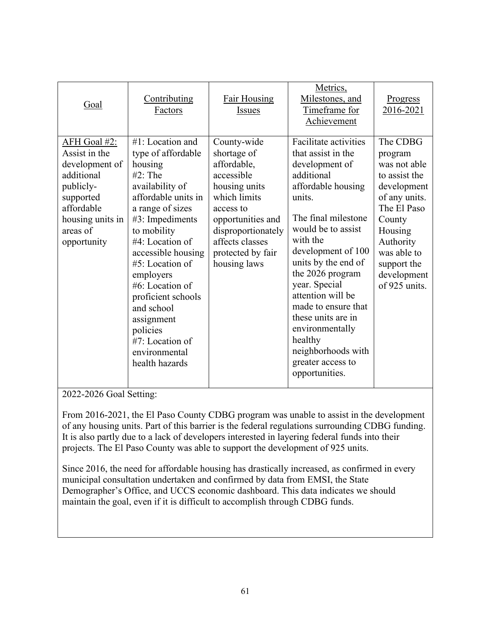| Goal                                                                                                                                                 | Contributing<br>Factors                                                                                                                                                                                                                                                                                                                                                            | <b>Fair Housing</b><br>Issues                                                                                                                                                                            | Metrics,<br>Milestones, and<br>Timeframe for<br>Achievement                                                                                                                                                                                                                                                                                                                                                                | Progress<br>2016-2021                                                                                                                                                                               |
|------------------------------------------------------------------------------------------------------------------------------------------------------|------------------------------------------------------------------------------------------------------------------------------------------------------------------------------------------------------------------------------------------------------------------------------------------------------------------------------------------------------------------------------------|----------------------------------------------------------------------------------------------------------------------------------------------------------------------------------------------------------|----------------------------------------------------------------------------------------------------------------------------------------------------------------------------------------------------------------------------------------------------------------------------------------------------------------------------------------------------------------------------------------------------------------------------|-----------------------------------------------------------------------------------------------------------------------------------------------------------------------------------------------------|
| AFH Goal #2:<br>Assist in the<br>development of<br>additional<br>publicly-<br>supported<br>affordable<br>housing units in<br>areas of<br>opportunity | #1: Location and<br>type of affordable<br>housing<br>$#2$ : The<br>availability of<br>affordable units in<br>a range of sizes<br>#3: Impediments<br>to mobility<br>#4: Location of<br>accessible housing<br>$#5$ : Location of<br>employers<br>#6: Location of<br>proficient schools<br>and school<br>assignment<br>policies<br>#7: Location of<br>environmental<br>health hazards | County-wide<br>shortage of<br>affordable,<br>accessible<br>housing units<br>which limits<br>access to<br>opportunities and<br>disproportionately<br>affects classes<br>protected by fair<br>housing laws | <b>Facilitate activities</b><br>that assist in the<br>development of<br>additional<br>affordable housing<br>units.<br>The final milestone<br>would be to assist<br>with the<br>development of 100<br>units by the end of<br>the 2026 program<br>year. Special<br>attention will be<br>made to ensure that<br>these units are in<br>environmentally<br>healthy<br>neighborhoods with<br>greater access to<br>opportunities. | The CDBG<br>program<br>was not able<br>to assist the<br>development<br>of any units.<br>The El Paso<br>County<br>Housing<br>Authority<br>was able to<br>support the<br>development<br>of 925 units. |

2022-2026 Goal Setting:

From 2016-2021, the El Paso County CDBG program was unable to assist in the development of any housing units. Part of this barrier is the federal regulations surrounding CDBG funding. It is also partly due to a lack of developers interested in layering federal funds into their projects. The El Paso County was able to support the development of 925 units.

Since 2016, the need for affordable housing has drastically increased, as confirmed in every municipal consultation undertaken and confirmed by data from EMSI, the State Demographer's Office, and UCCS economic dashboard. This data indicates we should maintain the goal, even if it is difficult to accomplish through CDBG funds.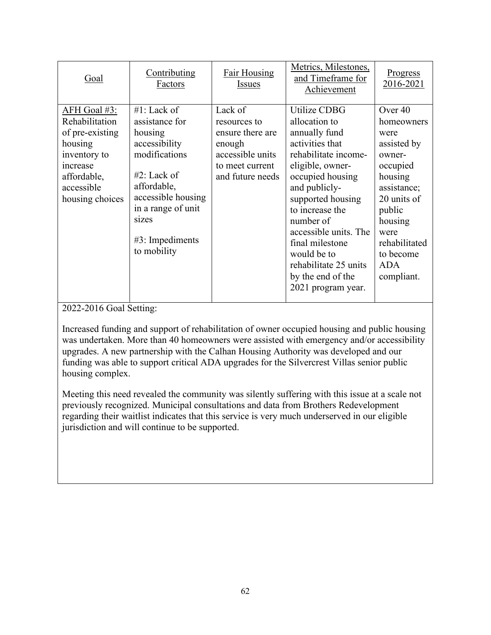| 2016-2021<br>Factors<br><b>Issues</b><br>Achievement                                                                                                                                                                                                                                                                                                                                                                                                                                                                                                                                                                                                                                                                                                                                                                                                                                                                                                                                                                  |  |
|-----------------------------------------------------------------------------------------------------------------------------------------------------------------------------------------------------------------------------------------------------------------------------------------------------------------------------------------------------------------------------------------------------------------------------------------------------------------------------------------------------------------------------------------------------------------------------------------------------------------------------------------------------------------------------------------------------------------------------------------------------------------------------------------------------------------------------------------------------------------------------------------------------------------------------------------------------------------------------------------------------------------------|--|
| Lack of<br>AFH Goal #3:<br>#1: Lack of<br>Utilize CDBG<br>Over 40<br>Rehabilitation<br>assistance for<br>allocation to<br>homeowners<br>resources to<br>of pre-existing<br>annually fund<br>ensure there are<br>housing<br>were<br>activities that<br>housing<br>accessibility<br>assisted by<br>enough<br>modifications<br>accessible units<br>rehabilitate income-<br>inventory to<br>owner-<br>eligible, owner-<br>to meet current<br>occupied<br>increase<br>$#2$ : Lack of<br>occupied housing<br>affordable,<br>and future needs<br>housing<br>affordable,<br>accessible<br>and publicly-<br>assistance;<br>accessible housing<br>supported housing<br>20 units of<br>housing choices<br>in a range of unit<br>to increase the<br>public<br>sizes<br>number of<br>housing<br>accessible units. The<br>were<br>$#3$ : Impediments<br>final milestone<br>rehabilitated<br>to mobility<br>would be to<br>to become<br>rehabilitate 25 units<br><b>ADA</b><br>by the end of the<br>compliant.<br>2021 program year. |  |

2022-2016 Goal Setting:

Increased funding and support of rehabilitation of owner occupied housing and public housing was undertaken. More than 40 homeowners were assisted with emergency and/or accessibility upgrades. A new partnership with the Calhan Housing Authority was developed and our funding was able to support critical ADA upgrades for the Silvercrest Villas senior public housing complex.

Meeting this need revealed the community was silently suffering with this issue at a scale not previously recognized. Municipal consultations and data from Brothers Redevelopment regarding their waitlist indicates that this service is very much underserved in our eligible jurisdiction and will continue to be supported.